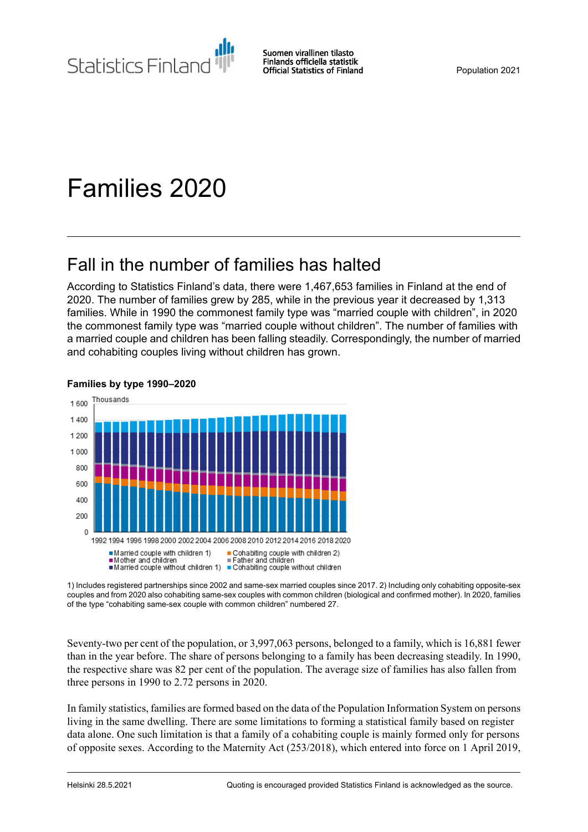Statistics Finland

Suomen virallinen tilasto Finlands officiella statistik **Official Statistics of Finland** 

# Families 2020

## Fall in the number of families has halted

According to Statistics Finland's data, there were 1,467,653 families in Finland at the end of 2020. The number of families grew by 285, while in the previous year it decreased by 1,313 families. While in 1990 the commonest family type was "married couple with children", in 2020 the commonest family type was "married couple without children". The number of families with a married couple and children has been falling steadily. Correspondingly, the number of married and cohabiting couples living without children has grown.



#### **Families by type 1990–2020**

1) Includes registered partnerships since 2002 and same-sex married couples since 2017. 2) Including only cohabiting opposite-sex couples and from 2020 also cohabiting same-sex couples with common children (biological and confirmed mother). In 2020, families of the type "cohabiting same-sex couple with common children" numbered 27.

Seventy-two per cent of the population, or 3,997,063 persons, belonged to a family, which is 16,881 fewer than in the year before. The share of persons belonging to a family has been decreasing steadily. In 1990, the respective share was 82 per cent of the population. The average size of families has also fallen from three persons in 1990 to 2.72 persons in 2020.

In family statistics, families are formed based on the data of the Population Information System on persons living in the same dwelling. There are some limitations to forming a statistical family based on register data alone. One such limitation is that a family of a cohabiting couple is mainly formed only for persons of opposite sexes. According to the Maternity Act (253/2018), which entered into force on 1 April 2019,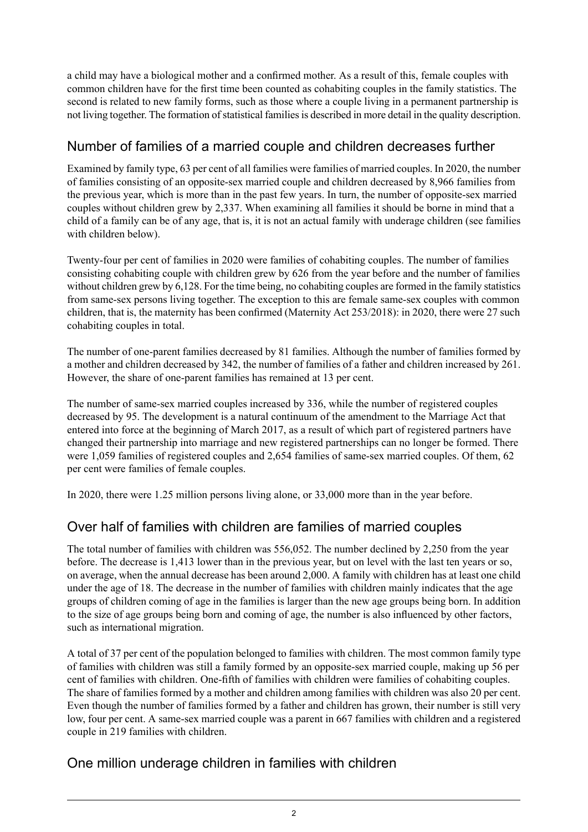a child may have a biological mother and a confirmed mother. As a result of this, female couples with common children have for the first time been counted as cohabiting couples in the family statistics. The second is related to new family forms, such as those where a couple living in a permanent partnership is not living together. The formation of statistical families is described in more detail in the quality description.

### Number of families of a married couple and children decreases further

Examined by family type, 63 per cent of all families were families of married couples. In 2020, the number of families consisting of an opposite-sex married couple and children decreased by 8,966 families from the previous year, which is more than in the past few years. In turn, the number of opposite-sex married couples without children grew by 2,337. When examining all families it should be borne in mind that a child of a family can be of any age, that is, it is not an actual family with underage children (see families with children below).

Twenty-four per cent of families in 2020 were families of cohabiting couples. The number of families consisting cohabiting couple with children grew by 626 from the year before and the number of families without children grew by 6,128. For the time being, no cohabiting couples are formed in the family statistics from same-sex persons living together. The exception to this are female same-sex couples with common children, that is, the maternity has been confirmed (Maternity Act 253/2018): in 2020, there were 27 such cohabiting couples in total.

The number of one-parent families decreased by 81 families. Although the number of families formed by a mother and children decreased by 342, the number of families of a father and children increased by 261. However, the share of one-parent families has remained at 13 per cent.

The number of same-sex married couples increased by 336, while the number of registered couples decreased by 95. The development is a natural continuum of the amendment to the Marriage Act that entered into force at the beginning of March 2017, as a result of which part of registered partners have changed their partnership into marriage and new registered partnerships can no longer be formed. There were 1,059 families of registered couples and 2,654 families of same-sex married couples. Of them, 62 per cent were families of female couples.

In 2020, there were 1.25 million persons living alone, or 33,000 more than in the year before.

## Over half of families with children are families of married couples

The total number of families with children was 556,052. The number declined by 2,250 from the year before. The decrease is 1,413 lower than in the previous year, but on level with the last ten years or so, on average, when the annual decrease has been around 2,000. A family with children has at least one child under the age of 18. The decrease in the number of families with children mainly indicates that the age groups of children coming of age in the families is larger than the new age groups being born. In addition to the size of age groups being born and coming of age, the number is also influenced by other factors, such as international migration.

A total of 37 per cent of the population belonged to families with children. The most common family type of families with children was still a family formed by an opposite-sex married couple, making up 56 per cent of families with children. One-fifth of families with children were families of cohabiting couples. The share of families formed by a mother and children among families with children was also 20 per cent. Even though the number of families formed by a father and children has grown, their number is still very low, four per cent. A same-sex married couple was a parent in 667 families with children and a registered couple in 219 families with children.

### One million underage children in families with children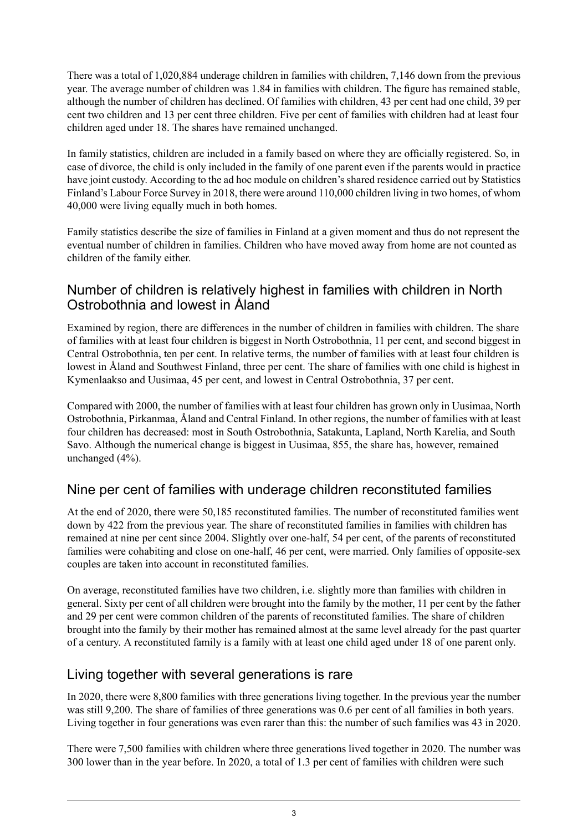There was a total of 1,020,884 underage children in families with children, 7,146 down from the previous year. The average number of children was 1.84 in families with children. The figure has remained stable, although the number of children has declined. Of families with children, 43 per cent had one child, 39 per cent two children and 13 per cent three children. Five per cent of families with children had at least four children aged under 18. The shares have remained unchanged.

In family statistics, children are included in a family based on where they are officially registered. So, in case of divorce, the child is only included in the family of one parent even if the parents would in practice have joint custody. According to the ad hoc module on children's shared residence carried out by Statistics Finland's Labour Force Survey in 2018, there were around 110,000 children living in two homes, of whom 40,000 were living equally much in both homes.

Family statistics describe the size of families in Finland at a given moment and thus do not represent the eventual number of children in families. Children who have moved away from home are not counted as children of the family either.

#### Number of children is relatively highest in families with children in North Ostrobothnia and lowest in Åland

Examined by region, there are differences in the number of children in families with children. The share of families with at least four children is biggest in North Ostrobothnia, 11 per cent, and second biggest in Central Ostrobothnia, ten per cent. In relative terms, the number of families with at least four children is lowest in Åland and Southwest Finland, three per cent. The share of families with one child is highest in Kymenlaakso and Uusimaa, 45 per cent, and lowest in Central Ostrobothnia, 37 per cent.

Compared with 2000, the number of families with at least four children has grown only in Uusimaa, North Ostrobothnia, Pirkanmaa, Åland and Central Finland. In other regions, the number of families with at least four children has decreased: most in South Ostrobothnia, Satakunta, Lapland, North Karelia, and South Savo. Although the numerical change is biggest in Uusimaa, 855, the share has, however, remained unchanged (4%).

#### Nine per cent of families with underage children reconstituted families

At the end of 2020, there were 50,185 reconstituted families. The number of reconstituted families went down by 422 from the previous year. The share of reconstituted families in families with children has remained at nine per cent since 2004. Slightly over one-half, 54 per cent, of the parents of reconstituted families were cohabiting and close on one-half, 46 per cent, were married. Only families of opposite-sex couples are taken into account in reconstituted families.

On average, reconstituted families have two children, i.e. slightly more than families with children in general. Sixty per cent of all children were brought into the family by the mother, 11 per cent by the father and 29 per cent were common children of the parents of reconstituted families. The share of children brought into the family by their mother has remained almost at the same level already for the past quarter of a century. A reconstituted family is a family with at least one child aged under 18 of one parent only.

#### Living together with several generations is rare

In 2020, there were 8,800 families with three generations living together. In the previous year the number was still 9,200. The share of families of three generations was 0.6 per cent of all families in both years. Living together in four generations was even rarer than this: the number of such families was 43 in 2020.

There were 7,500 families with children where three generations lived together in 2020. The number was 300 lower than in the year before. In 2020, a total of 1.3 per cent of families with children were such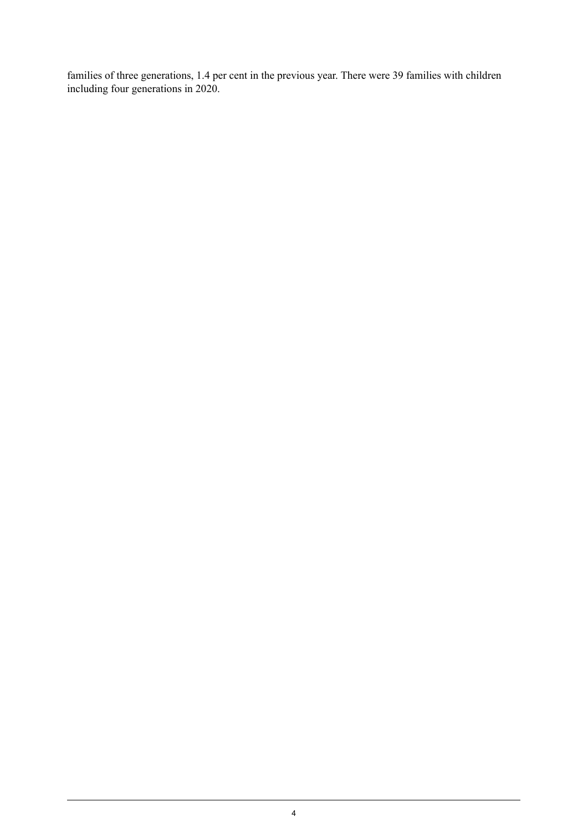families of three generations, 1.4 per cent in the previous year. There were 39 families with children including four generations in 2020.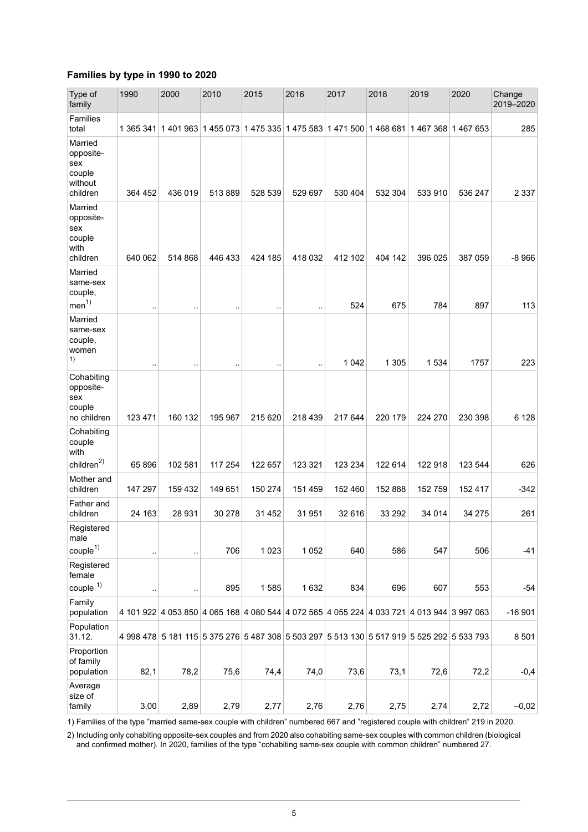#### **Families by type in 1990 to 2020**

| Type of<br>family                                            | 1990                 | 2000      | 2010                                                                                      | 2015                 | 2016                 | 2017    | 2018    | 2019              | 2020    | Change<br>2019-2020 |
|--------------------------------------------------------------|----------------------|-----------|-------------------------------------------------------------------------------------------|----------------------|----------------------|---------|---------|-------------------|---------|---------------------|
| Families<br>total                                            | 1 365 341            |           | 1 401 963 1 455 073 1 475 335 1 475 583 1 471 500 1 468 681                               |                      |                      |         |         | 1467 368 1467 653 |         | 285                 |
| Married<br>opposite-<br>sex<br>couple<br>without<br>children | 364 452              | 436 019   | 513889                                                                                    | 528 539              | 529 697              | 530 404 | 532 304 | 533 910           | 536 247 | 2 3 3 7             |
| Married<br>opposite-<br>sex<br>couple<br>with<br>children    | 640 062              | 514 868   | 446 433                                                                                   | 424 185              | 418 032              | 412 102 | 404 142 | 396 025           | 387 059 | $-8966$             |
| Married<br>same-sex<br>couple,<br>men <sup>1</sup>           | $\ddot{\phantom{a}}$ |           | $\ddotsc$                                                                                 | $\ddot{\phantom{a}}$ | $\ddot{\phantom{a}}$ | 524     | 675     | 784               | 897     | 113                 |
| Married<br>same-sex<br>couple,<br>women<br>1)                |                      | ٠.        | $\ddot{\phantom{0}}$                                                                      | Ξ.                   | ٠.                   | 1 0 4 2 | 1 3 0 5 | 1534              | 1757    | 223                 |
| Cohabiting<br>opposite-<br>sex<br>couple<br>no children      | 123 471              | 160 132   | 195 967                                                                                   | 215 620              | 218 439              | 217 644 | 220 179 | 224 270           | 230 398 | 6 1 28              |
| Cohabiting<br>couple<br>with                                 |                      |           |                                                                                           |                      |                      |         |         |                   |         |                     |
| children <sup>2</sup>                                        | 65896                | 102 581   | 117 254                                                                                   | 122 657              | 123 321              | 123 234 | 122 614 | 122 918           | 123 544 | 626                 |
| Mother and<br>children                                       | 147 297              | 159 432   | 149 651                                                                                   | 150 274              | 151 459              | 152 460 | 152 888 | 152 759           | 152 417 | $-342$              |
| Father and<br>children                                       | 24 163               | 28 931    | 30 278                                                                                    | 31 452               | 31 951               | 32 616  | 33 29 2 | 34 014            | 34 275  | 261                 |
| Registered<br>male<br>couple <sup>1</sup>                    | ٠.                   | $\ddotsc$ | 706                                                                                       | 1 0 2 3              | 1 0 5 2              | 640     | 586     | 547               | 506     | $-41$               |
| Registered<br>female                                         |                      |           |                                                                                           |                      |                      |         |         |                   |         |                     |
| $couple$ <sup><math>1)</math></sup>                          |                      | ٠.        | 895                                                                                       | 1585                 | 1632                 | 834     | 696     | 607               | 553     | $-54$               |
| Family<br>population                                         |                      |           | 4 101 922 4 053 850 4 065 168 4 080 544 4 072 565 4 055 224 4 033 721 4 013 944 3 997 063 |                      |                      |         |         |                   |         | $-16901$            |
| Population<br>31.12.                                         |                      |           | 4 998 478 5 181 115 5 375 276 5 487 308 5 503 297 5 513 130 5 517 919 5 525 292 5 533 793 |                      |                      |         |         |                   |         | 8 5 0 1             |
| Proportion<br>of family<br>population                        | 82,1                 | 78,2      | 75,6                                                                                      | 74,4                 | 74,0                 | 73,6    | 73,1    | 72,6              | 72,2    | $-0,4$              |
| Average<br>size of<br>family                                 | 3,00                 | 2,89      | 2,79                                                                                      | 2,77                 | 2,76                 | 2,76    | 2,75    | 2,74              | 2,72    | $-0,02$             |

1) Families of the type "married same-sex couple with children" numbered 667 and "registered couple with children" 219 in 2020.

Including only cohabiting opposite-sex couples and from 2020 also cohabiting same-sex couples with common children (biological and confirmed mother). In 2020, families of the type "cohabiting same-sex couple with common children" numbered 27. 2)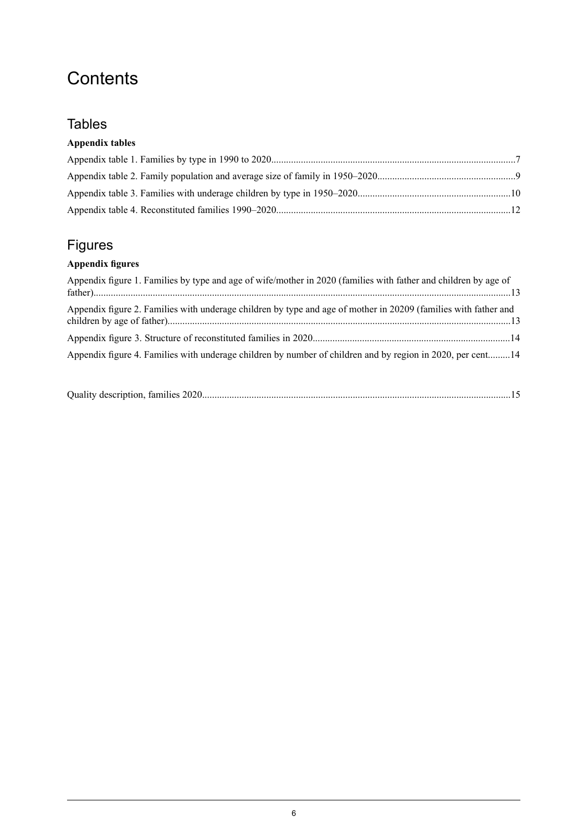## **Contents**

#### **Tables**

#### **Appendix tables**

## Figures

#### **Appendix figures**

| Appendix figure 1. Families by type and age of wife/mother in 2020 (families with father and children by age of |  |
|-----------------------------------------------------------------------------------------------------------------|--|
| Appendix figure 2. Families with underage children by type and age of mother in 20209 (families with father and |  |
|                                                                                                                 |  |
| Appendix figure 4. Families with underage children by number of children and by region in 2020, per cent14      |  |

|--|--|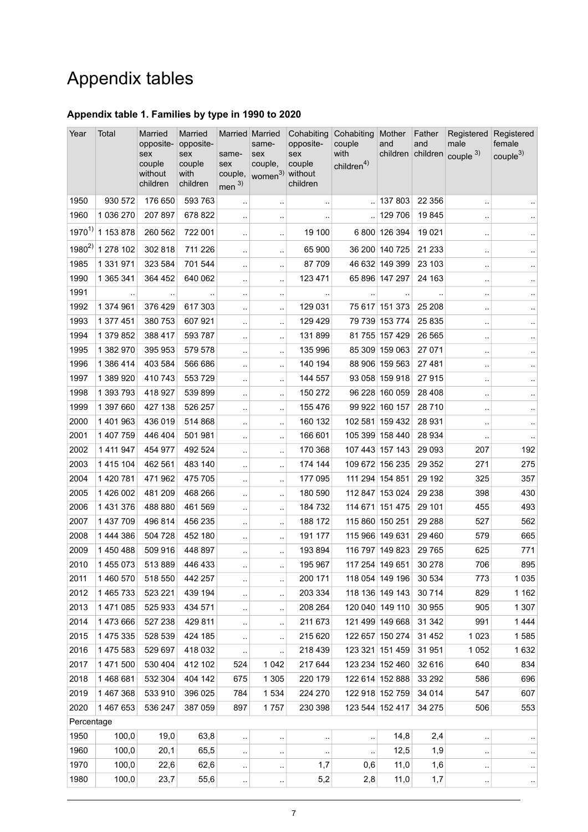## Appendix tables

#### <span id="page-6-0"></span>**Appendix table 1. Families by type in 1990 to 2020**

| Year       | Total       | Married<br>opposite-                 | Married<br>opposite-              | Married Married                             | same-                                         | Cohabiting<br>opposite-   | Cohabiting<br>couple           | Mother<br>and   | Father<br>and | Registered<br>male          | Registered<br>female |
|------------|-------------|--------------------------------------|-----------------------------------|---------------------------------------------|-----------------------------------------------|---------------------------|--------------------------------|-----------------|---------------|-----------------------------|----------------------|
|            |             | sex<br>couple<br>without<br>children | sex<br>couple<br>with<br>children | same-<br>sex<br>couple,<br>men <sup>3</sup> | sex<br>couple,<br>women <sup>3)</sup> without | sex<br>couple<br>children | with<br>children <sup>4)</sup> |                 |               | children children couple 3) | couple <sup>3</sup>  |
| 1950       | 930 572     | 176 650                              | 593 763                           |                                             |                                               | $\cdot$ .                 |                                | 137 803         | 22 3 5 6      | $\ddotsc$                   |                      |
| 1960       | 1 036 270   | 207 897                              | 678 822                           | $\cdot$ .                                   | $\cdot$                                       |                           | $\ddotsc$                      | 129 706         | 19845         | $\ddot{\phantom{a}}$        |                      |
| $1970^{1}$ | 1 153 878   | 260 562                              | 722 001                           | $\cdot$ .                                   | Ω,                                            | 19 100                    |                                | 6 800 126 394   | 19 0 21       | $\ddot{\phantom{0}}$        | $\ddot{\phantom{1}}$ |
| $1980^{2}$ | 1 278 102   | 302 818                              | 711 226                           | $\ddot{\phantom{a}}$                        | μ.                                            | 65 900                    |                                | 36 200 140 725  | 21 233        | $\ddotsc$                   | $\sim$               |
| 1985       | 1 331 971   | 323 584                              | 701 544                           | $\ddotsc$                                   | $\ddotsc$                                     | 87709                     |                                | 46 632 149 399  | 23 103        | $\ddotsc$                   | $\sim$               |
| 1990       | 1 365 341   | 364 452                              | 640 062                           | $\ddotsc$                                   | $\ddot{\phantom{a}}$                          | 123 471                   |                                | 65 896 147 297  | 24 163        | $\ddot{\phantom{a}}$        | $\ddot{\phantom{1}}$ |
| 1991       | $\sim$      | $\sim$                               |                                   | $\cdot$ .                                   | $\cdot$ .                                     | $\cdot$ .                 | $\sim$                         | $\sim$          |               | $\ddot{\phantom{a}}$        | $\bar{\phantom{a}}$  |
| 1992       | 1 374 961   | 376 429                              | 617 303                           |                                             |                                               | 129 031                   |                                | 75 617 151 373  | 25 208        |                             |                      |
| 1993       | 1 377 451   | 380 753                              | 607 921                           | $\ddotsc$                                   | ٠.                                            | 129 429                   |                                | 79 739 153 774  | 25 8 35       |                             | $\ddotsc$            |
| 1994       | 1 379 852   | 388 417                              | 593 787                           |                                             | μ,                                            | 131899                    |                                | 81 755 157 429  | 26 5 65       | $\ddotsc$                   | $\sim$               |
| 1995       | 1 382 970   | 395 953                              | 579 578                           | $\ddotsc$                                   | $\ddot{\phantom{a}}$                          | 135 996                   |                                | 85 309 159 063  | 27 071        | $\ddot{\phantom{a}}$        | $\ldots$             |
| 1996       | 1 386 414   | 403 584                              | 566 686                           | $\ddotsc$                                   | μ.                                            | 140 194                   |                                | 88 906 159 563  | 27 481        | $\ddotsc$                   | $\sim$               |
| 1997       | 1 389 920   | 410 743                              | 553 729                           |                                             | $\cdot$ .                                     | 144 557                   |                                | 93 058 159 918  | 27915         |                             | $\epsilon$           |
| 1998       | 1 393 793   | 418 927                              | 539 899                           | $\cdot$ .                                   | .,                                            | 150 272                   |                                | 96 228 160 059  | 28 4 08       | $\ddot{\phantom{a}}$        | $\cdot$              |
| 1999       | 1 397 660   | 427 138                              | 526 257                           |                                             |                                               | 155 476                   |                                | 99 922 160 157  | 28710         |                             | $\ddot{\phantom{1}}$ |
| 2000       | 1 401 963   | 436 019                              | 514 868                           | $\ddot{\phantom{a}}$                        | $\ddotsc$                                     | 160 132                   |                                | 102 581 159 432 | 28 931        | $\ddotsc$                   | $\ldots$             |
| 2001       | 1 407 759   | 446 404                              | 501 981                           | $\ddotsc$                                   | $\ddotsc$                                     | 166 601                   |                                | 105 399 158 440 | 28 9 34       | $\sim$                      | $\epsilon$ .         |
| 2002       | 1 4 1 9 4 7 | 454 977                              | 492 524                           | $\ddotsc$                                   | $\ddot{\phantom{a}}$                          | 170 368                   |                                | 107 443 157 143 | 29 0 93       | 207                         | 192                  |
| 2003       | 1 415 104   | 462 561                              | 483 140                           | $\cdot$ .                                   | .,                                            | 174 144                   |                                | 109 672 156 235 | 29 3 5 2      | 271                         | 275                  |
| 2004       | 1 420 781   | 471 962                              | 475 705                           |                                             |                                               | 177 095                   |                                | 111 294 154 851 | 29 192        | 325                         | 357                  |
| 2005       | 1 426 002   | 481 209                              | 468 266                           | $\ddotsc$                                   | μ.                                            | 180 590                   |                                | 112 847 153 024 | 29 238        | 398                         | 430                  |
| 2006       | 1 431 376   | 488 880                              | 461 569                           | $\ddotsc$                                   | μ.                                            | 184 732                   |                                | 114 671 151 475 | 29 101        | 455                         | 493                  |
| 2007       | 1 437 709   | 496 814                              | 456 235                           | $\ddotsc$                                   | $\ddot{\phantom{a}}$                          | 188 172                   |                                | 115 860 150 251 | 29 288        | 527                         | 562                  |
| 2008       | 1 444 386   | 504 728                              | 452 180                           | $\ddotsc$                                   | $\ddotsc$                                     | 191 177                   |                                | 115 966 149 631 | 29 4 60       | 579                         | 665                  |
| 2009       | 1 450 488   | 509 916                              | 448 897                           | $\cdot$                                     | $\ldots$                                      | 193 894                   |                                | 116 797 149 823 | 29 7 65       | 625                         | 771                  |
| 2010       | 1 455 073   | 513889                               | 446 433                           | $\ddotsc$                                   | à.                                            | 195 967                   |                                | 117 254 149 651 | 30 278        | 706                         | 895                  |
| 2011       | 1 460 570   | 518 550                              | 442 257                           | $\ddotsc$                                   | ٠.                                            | 200 171                   |                                | 118 054 149 196 | 30 534        | 773                         | 1 0 3 5              |
| 2012       | 1 465 733   | 523 221                              | 439 194                           | $\ddotsc$                                   | $\ddotsc$                                     | 203 334                   |                                | 118 136 149 143 | 30 714        | 829                         | 1 1 6 2              |
| 2013       | 1 471 085   | 525 933                              | 434 571                           | $\cdot$ .                                   | ٠.                                            | 208 264                   |                                | 120 040 149 110 | 30 955        | 905                         | 1 307                |
| 2014       | 1 473 666   | 527 238                              | 429 811                           | $\cdot$ .                                   | ٠.                                            | 211 673                   |                                | 121 499 149 668 | 31 342        | 991                         | 1444                 |
| 2015       | 1 475 335   | 528 539                              | 424 185                           | $\cdot$                                     | ò,                                            | 215 620                   |                                | 122 657 150 274 | 31 4 52       | 1023                        | 1585                 |
| 2016       | 1 475 583   | 529 697                              | 418 032                           | $\ddot{\phantom{0}}$                        |                                               | 218 439                   |                                | 123 321 151 459 | 31 951        | 1 0 5 2                     | 1632                 |
| 2017       | 1 471 500   | 530 404                              | 412 102                           | 524                                         | 1 0 4 2                                       | 217 644                   |                                | 123 234 152 460 | 32 616        | 640                         | 834                  |
| 2018       | 1468681     | 532 304                              | 404 142                           | 675                                         | 1 3 0 5                                       | 220 179                   |                                | 122 614 152 888 | 33 29 2       | 586                         | 696                  |
| 2019       | 1 467 368   | 533 910                              | 396 025                           | 784                                         | 1 5 3 4                                       | 224 270                   |                                | 122 918 152 759 | 34 014        | 547                         | 607                  |
| 2020       | 1 467 653   | 536 247                              | 387 059                           | 897                                         | 1757                                          | 230 398                   |                                | 123 544 152 417 | 34 275        | 506                         | 553                  |
| Percentage |             |                                      |                                   |                                             |                                               |                           |                                |                 |               |                             |                      |
| 1950       | 100,0       | 19,0                                 | 63,8                              | $\ddot{\phantom{1}}$                        | $\ddot{\phantom{0}}$                          | ٠.                        |                                | 14,8            | 2,4           |                             | $\cdot$ .            |
| 1960       | 100,0       | 20,1                                 | 65,5                              | $\ddotsc$                                   | $\cdot$ .                                     | $\cdot$ .                 | $\ddotsc$                      | 12,5            | 1,9           | $\ddotsc$                   | $\sim$               |
| 1970       | 100,0       | 22,6                                 | 62,6                              | $\ddotsc$                                   | $\ddotsc$                                     | 1,7                       | 0,6                            | 11,0            | 1,6           | $\cdot$                     | $\ddot{\phantom{1}}$ |
| 1980       | 100,0       | 23,7                                 | 55,6                              | $\cdot$ .                                   | $\cdot$                                       | 5,2                       | 2,8                            | 11,0            | 1,7           | $\cdot$ :                   | $\cdot$ .            |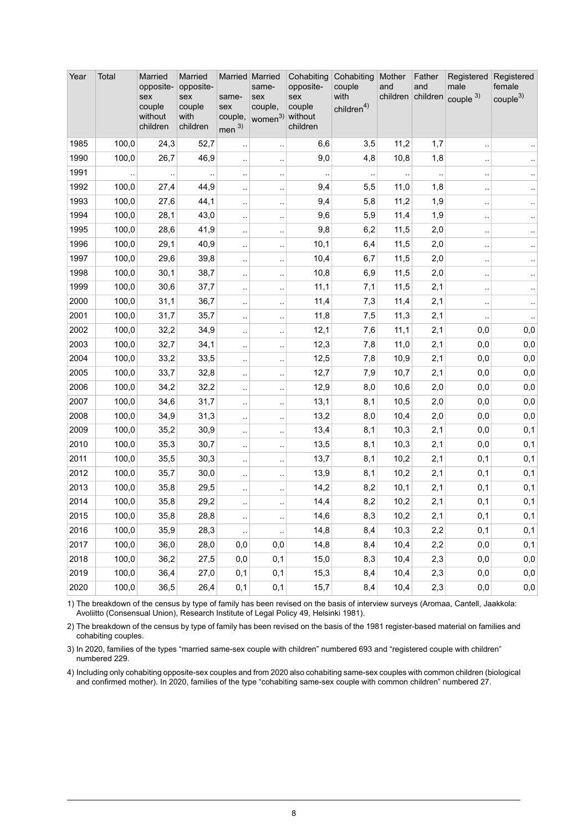| Year | Total | Married<br>opposite-<br>sex<br>couple<br>without<br>children | Married<br>opposite-<br>sex<br>couple<br>with<br>children | Married Married<br>same-<br>sex<br>couple,<br>men $3)$ | same-<br>sex<br>couple,<br>women <sup>3)</sup> without | Cohabiting<br>opposite-<br>sex<br>couple<br>children | Cohabiting<br>couple<br>with<br>children <sup>4)</sup> | Mother<br>and | Father<br>and | Registered<br>male<br>children children couple 3) | Registered<br>female<br>couple <sup>3</sup> |
|------|-------|--------------------------------------------------------------|-----------------------------------------------------------|--------------------------------------------------------|--------------------------------------------------------|------------------------------------------------------|--------------------------------------------------------|---------------|---------------|---------------------------------------------------|---------------------------------------------|
| 1985 | 100,0 | 24,3                                                         | 52,7                                                      | ٠.                                                     | $\ldots$                                               | 6,6                                                  | 3,5                                                    | 11,2          | 1,7           | $\ddot{\phantom{1}}$ .                            |                                             |
| 1990 | 100,0 | 26,7                                                         | 46,9                                                      | $\ddot{\phantom{0}}$                                   | $\ddot{\phantom{1}}$                                   | 9,0                                                  | 4,8                                                    | 10,8          | 1,8           | $\cdot$                                           |                                             |
| 1991 |       |                                                              |                                                           | $\cdot$                                                | $\cdot$ .                                              |                                                      |                                                        |               |               | $\ddot{\phantom{0}}$                              |                                             |
| 1992 | 100,0 | 27,4                                                         | 44,9                                                      | $\ddotsc$                                              | $\cdot$ .                                              | 9,4                                                  | 5,5                                                    | 11,0          | 1,8           | $\ddot{\phantom{0}}$                              |                                             |
| 1993 | 100,0 | 27,6                                                         | 44,1                                                      | $\ddotsc$                                              | $\ddot{\phantom{1}}$                                   | 9,4                                                  | 5,8                                                    | 11,2          | 1,9           | $\ddotsc$                                         |                                             |
| 1994 | 100,0 | 28,1                                                         | 43,0                                                      | $\ddotsc$                                              | $\ddot{\phantom{1}}$                                   | 9,6                                                  | 5,9                                                    | 11,4          | 1,9           | $\ddot{\phantom{1}}$ .                            |                                             |
| 1995 | 100,0 | 28,6                                                         | 41,9                                                      | $\ddotsc$                                              | $\cdot$ .                                              | 9,8                                                  | 6,2                                                    | 11,5          | 2,0           | $\ddot{\phantom{1}}$ .                            |                                             |
| 1996 | 100,0 | 29,1                                                         | 40,9                                                      | $\ddot{\phantom{1}}$                                   | $\bar{\phantom{a}}$                                    | 10,1                                                 | 6,4                                                    | 11,5          | 2,0           | $\ddot{\phantom{0}}$                              |                                             |
| 1997 | 100,0 | 29,6                                                         | 39,8                                                      | .,                                                     | $\ddot{\phantom{1}}$                                   | 10,4                                                 | 6,7                                                    | 11,5          | 2,0           | $\cdot$                                           |                                             |
| 1998 | 100,0 | 30,1                                                         | 38,7                                                      | $\ddotsc$                                              | $\ddotsc$                                              | 10,8                                                 | 6,9                                                    | 11,5          | 2,0           | $\ddotsc$                                         |                                             |
| 1999 | 100,0 | 30,6                                                         | 37,7                                                      | $\ddotsc$                                              | $\ddot{\phantom{a}}$                                   | 11,1                                                 | 7,1                                                    | 11,5          | 2,1           | $\cdot$                                           |                                             |
| 2000 | 100,0 | 31,1                                                         | 36,7                                                      | $\ddotsc$                                              | $\ddot{\phantom{1}}$                                   | 11,4                                                 | 7,3                                                    | 11,4          | 2,1           | $\ddot{\phantom{a}}$                              | $\ddotsc$                                   |
| 2001 | 100,0 | 31,7                                                         | 35,7                                                      | ٠.                                                     | $\ddotsc$                                              | 11,8                                                 | 7,5                                                    | 11,3          | 2,1           |                                                   | $\ddotsc$                                   |
| 2002 | 100,0 | 32,2                                                         | 34,9                                                      | .,                                                     | $\bar{\phantom{a}}$                                    | 12,1                                                 | 7,6                                                    | 11,1          | 2,1           | 0,0                                               | $_{0,0}$                                    |
| 2003 | 100,0 | 32,7                                                         | 34,1                                                      | $\ddot{\phantom{0}}$                                   | $\ddotsc$                                              | 12,3                                                 | 7,8                                                    | 11,0          | 2,1           | 0,0                                               | 0,0                                         |
| 2004 | 100,0 | 33,2                                                         | 33,5                                                      | $\ddotsc$                                              | $\ldots$                                               | 12,5                                                 | 7,8                                                    | 10,9          | 2,1           | 0,0                                               | 0,0                                         |
| 2005 | 100,0 | 33,7                                                         | 32,8                                                      | $\ddotsc$                                              | $\ddot{\phantom{a}}$                                   | 12,7                                                 | 7,9                                                    | 10,7          | 2,1           | 0,0                                               | 0,0                                         |
| 2006 | 100,0 | 34,2                                                         | 32,2                                                      | .,                                                     | $\ddot{\phantom{1}}$                                   | 12,9                                                 | 8,0                                                    | 10,6          | 2,0           | 0,0                                               | 0,0                                         |
| 2007 | 100,0 | 34,6                                                         | 31,7                                                      | $\ddotsc$                                              | $\ddot{\phantom{1}}$                                   | 13,1                                                 | 8,1                                                    | 10,5          | 2,0           | 0,0                                               | 0,0                                         |
| 2008 | 100,0 | 34,9                                                         | 31,3                                                      | $\cdot$                                                | $\ddot{\phantom{a}}$                                   | 13,2                                                 | 8,0                                                    | 10,4          | 2,0           | 0,0                                               | 0,0                                         |
| 2009 | 100,0 | 35,2                                                         | 30,9                                                      | $\ddot{\phantom{0}}$                                   | $\ldots$                                               | 13,4                                                 | 8,1                                                    | 10,3          | 2,1           | 0,0                                               | 0,1                                         |
| 2010 | 100,0 | 35,3                                                         | 30,7                                                      |                                                        | $\ddotsc$                                              | 13,5                                                 | 8,1                                                    | 10,3          | 2,1           | 0,0                                               | 0,1                                         |
| 2011 | 100,0 | 35,5                                                         | 30,3                                                      |                                                        | $\ddot{\phantom{1}}$                                   | 13,7                                                 | 8,1                                                    | 10,2          | 2,1           | 0,1                                               | 0,1                                         |
| 2012 | 100,0 | 35,7                                                         | 30,0                                                      | $\ddotsc$                                              | $\ddot{\phantom{1}}$                                   | 13,9                                                 | 8,1                                                    | 10,2          | 2,1           | 0,1                                               | 0,1                                         |
| 2013 | 100,0 | 35,8                                                         | 29,5                                                      | ٠.                                                     | $\cdot$ .                                              | 14,2                                                 | 8,2                                                    | 10,1          | 2,1           | 0,1                                               | 0,1                                         |
| 2014 | 100,0 | 35,8                                                         | 29,2                                                      | .,                                                     | $\ddot{\phantom{1}}$                                   | 14,4                                                 | 8,2                                                    | 10,2          | 2,1           | 0,1                                               | 0,1                                         |
| 2015 | 100,0 | 35,8                                                         | 28,8                                                      | $\ddot{\phantom{0}}$                                   | $\ddot{\phantom{a}}$                                   | 14,6                                                 | 8,3                                                    | 10,2          | 2,1           | 0,1                                               | 0,1                                         |
| 2016 | 100,0 | 35,9                                                         | 28,3                                                      | .,                                                     | $\ddot{\phantom{1}}$                                   | 14,8                                                 | 8,4                                                    | 10,3          | 2,2           | 0,1                                               | 0,1                                         |
| 2017 | 100,0 | 36,0                                                         | 28,0                                                      | 0,0                                                    | 0,0                                                    | 14,8                                                 | 8,4                                                    | 10,4          | 2,2           | 0,0                                               | 0,1                                         |
| 2018 | 100,0 | 36,2                                                         | 27,5                                                      | 0,0                                                    | 0,1                                                    | 15,0                                                 | 8,3                                                    | 10,4          | 2,3           | 0,0                                               | 0,0                                         |
| 2019 | 100,0 | 36,4                                                         | 27,0                                                      | 0,1                                                    | 0,1                                                    | 15,3                                                 | 8,4                                                    | 10,4          | 2,3           | 0,0                                               | 0,0                                         |
| 2020 | 100,0 | 36,5                                                         | 26,4                                                      | 0,1                                                    | 0,1                                                    | 15,7                                                 | 8,4                                                    | 10,4          | 2,3           | 0,0                                               | 0,0                                         |

1) The breakdown of the census by type of family has been revised on the basis of interview surveys (Aromaa, Cantell, Jaakkola: Avoliitto (Consensual Union), Research Institute of Legal Policy 49, Helsinki 1981).

2) The breakdown of the census by type of family has been revised on the basis of the 1981 register-based material on families and cohabiting couples.

3) In 2020, families of the types "married same-sex couple with children" numbered 693 and "registered couple with children" numbered 229.

4) Including only cohabiting opposite-sex couples and from 2020 also cohabiting same-sex couples with common children (biological and confirmed mother). In 2020, families of the type "cohabiting same-sex couple with common children" numbered 27.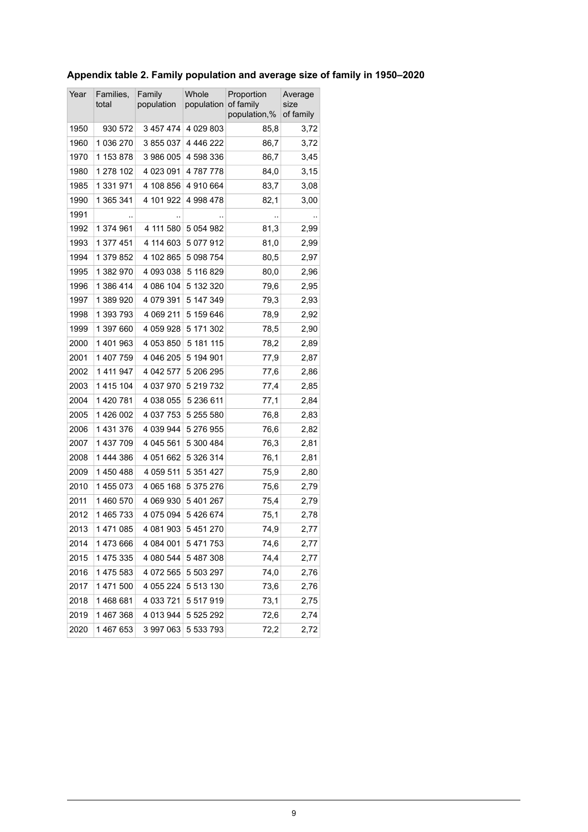<span id="page-8-0"></span>

| Year | Families,<br>total | Family<br>population | Whole<br>population of family | Proportion<br>population,% | Average<br>size<br>of family |  |
|------|--------------------|----------------------|-------------------------------|----------------------------|------------------------------|--|
| 1950 | 930 572            | 3457474              | 4 0 29 8 0 3                  | 85,8                       | 3,72                         |  |
| 1960 | 1 036 270          | 3855037              | 4 446 222                     | 86,7                       | 3,72                         |  |
| 1970 | 1 153 878          | 3 986 005            | 4 598 336                     | 86,7                       | 3,45                         |  |
| 1980 | 1 278 102          | 4 023 091            | 4787778                       | 84,0                       | 3,15                         |  |
| 1985 | 1 331 971          | 4 108 856            | 4 910 664                     | 83,7                       | 3,08                         |  |
| 1990 | 1 365 341          | 4 101 922            | 4 998 478                     | 82,1                       | 3,00                         |  |
| 1991 |                    |                      |                               |                            |                              |  |
| 1992 | 1 374 961          | 4 111 580            | 5 0 5 4 9 8 2                 | 81,3                       | 2,99                         |  |
| 1993 | 1 377 451          | 4 114 603            | 5 077 912                     | 81,0                       | 2,99                         |  |
| 1994 | 1 379 852          | 4 102 865            | 5 098 754                     | 80,5                       | 2,97                         |  |
| 1995 | 1 382 970          | 4 093 038            | 5 116 829                     | 80,0                       | 2,96                         |  |
| 1996 | 1 386 414          | 4 086 104            | 5 132 320                     | 79,6                       | 2,95                         |  |
| 1997 | 1 389 920          | 4 079 391            | 5 147 349                     | 79,3                       | 2,93                         |  |
| 1998 | 1 393 793          | 4 069 211            | 5 159 646                     | 78,9                       | 2,92                         |  |
| 1999 | 1 397 660          | 4 059 928            | 5 171 302                     | 78,5                       | 2,90                         |  |
| 2000 | 1401963            | 4 053 850            | 5 181 115                     | 78,2                       | 2,89                         |  |
| 2001 | 1 407 759          | 4 046 205            | 5 194 901                     | 77,9                       | 2,87                         |  |
| 2002 | 1 4 1 9 9 4 7      | 4 042 577            | 5 206 295                     | 77,6                       | 2,86                         |  |
| 2003 | 1415104            | 4 037 970            | 5 219 732                     | 77,4                       | 2,85                         |  |
| 2004 | 1 420 781          | 4 038 055            | 5 236 611                     | 77,1                       | 2,84                         |  |
| 2005 | 1 426 002          | 4 037 753            | 5 255 580                     | 76,8                       | 2,83                         |  |
| 2006 | 1 431 376          | 4 039 944            | 5 276 955                     | 76,6                       | 2,82                         |  |
| 2007 | 1 437 709          | 4 045 561            | 5 300 484                     | 76,3                       | 2,81                         |  |
| 2008 | 1444386            | 4 051 662            | 5 326 314                     | 76,1                       | 2,81                         |  |
| 2009 | 1450488            | 4 059 511            | 5 351 427                     | 75,9                       | 2,80                         |  |
| 2010 | 1455073            | 4 065 168            | 5 375 276                     | 75,6                       | 2,79                         |  |
| 2011 | 1460570            | 4 069 930            | 5 401 267                     | 75,4                       | 2,79                         |  |
| 2012 | 1465733            | 4 075 094            | 5 426 674                     | 75,1                       | 2,78                         |  |
| 2013 | 1471085            | 4 081 903            | 5 451 270                     | 74,9                       | 2,77                         |  |
| 2014 | 1473666            | 4 084 001            | 5 471 753                     | 74,6                       | 2,77                         |  |
| 2015 | 1 475 335          | 4 080 544            | 5 487 308                     | 74,4                       | 2,77                         |  |
| 2016 | 1475 583           | 4 072 565            | 5 503 297                     | 74,0                       | 2,76                         |  |
| 2017 | 1 471 500          | 4 055 224            | 5 513 130                     | 73,6                       | 2,76                         |  |
| 2018 | 1468681            | 4 033 721            | 5 517 919                     | 73,1                       | 2,75                         |  |
| 2019 | 1467368            | 4 013 944            | 5 5 2 5 2 9 2                 | 72,6                       | 2,74                         |  |
| 2020 | 1 467 653          | 3 997 063            | 5 533 793                     | 72,2                       | 2,72                         |  |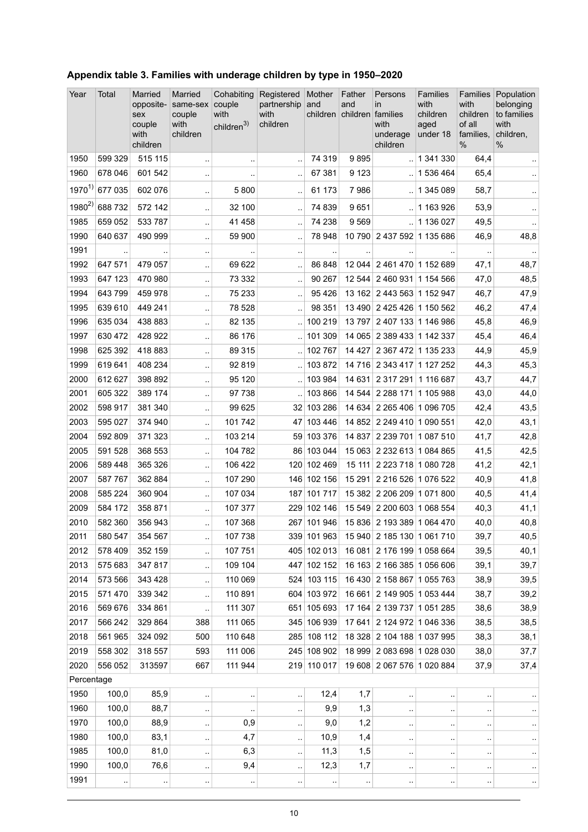| Year         | Total             | Married<br>opposite-<br>sex<br>couple<br>with<br>children | Married<br>same-sex<br>couple<br>with<br>children | Cohabiting<br>couple<br>with<br>children <sup>3)</sup> | Registered<br>partnership<br>with<br>children | Mother<br>and<br>children | Father<br>and<br>children families | Persons<br>in<br>with<br>underage<br>children            | <b>Families</b><br>with<br>children<br>aged<br>under 18 | with<br>children<br>of all<br>families.<br>$\%$ | Families Population<br>belonging<br>to families<br>with<br>children,<br>$\frac{0}{0}$ |
|--------------|-------------------|-----------------------------------------------------------|---------------------------------------------------|--------------------------------------------------------|-----------------------------------------------|---------------------------|------------------------------------|----------------------------------------------------------|---------------------------------------------------------|-------------------------------------------------|---------------------------------------------------------------------------------------|
| 1950         | 599 329           | 515 115                                                   | $\ddotsc$                                         | $\ddotsc$                                              |                                               | 74 319                    | 9895                               |                                                          | $.$ 1 341 330                                           | 64,4                                            |                                                                                       |
| 1960         | 678 046           | 601 542                                                   |                                                   |                                                        |                                               | 67 381                    | 9 1 2 3                            |                                                          | .1536464                                                | 65,4                                            |                                                                                       |
| $1970^{1}$   | 677 035           | 602 076                                                   | $\ddotsc$                                         | 5800                                                   | $\ddotsc$                                     | 61 173                    | 7986                               |                                                          | 1 345 089                                               | 58,7                                            | $\ddotsc$                                                                             |
| $1980^{2}$   | 688732            | 572 142                                                   | $\ddotsc$                                         | 32 100                                                 | $\ddotsc$                                     | 74 839                    | 9651                               |                                                          | .11163926                                               | 53,9                                            | $\ddot{\phantom{1}}$                                                                  |
| 1985         | 659 052           | 533 787                                                   | $\ddotsc$                                         | 41 458                                                 |                                               | 74 238                    | 9569                               | $\mathcal{L}$                                            | 1 136 027                                               | 49,5                                            | $\ddot{\phantom{1}}$                                                                  |
| 1990         | 640 637           | 490 999                                                   | .,                                                | 59 900                                                 | $\ddot{\phantom{a}}$                          | 78 948                    |                                    | 10 790 2 437 592 1 135 686                               |                                                         | 46,9                                            | 48,8                                                                                  |
| 1991         |                   |                                                           | $\ddotsc$                                         |                                                        |                                               |                           |                                    |                                                          |                                                         |                                                 | $\ddotsc$                                                                             |
| 1992<br>1993 | 647 571           | 479 057                                                   | $\ddotsc$                                         | 69 622                                                 | $\ddot{\phantom{a}}$                          | 86 848<br>90 267          |                                    | 12 044 2 461 470 1 152 689                               |                                                         | 47,1                                            | 48,7                                                                                  |
| 1994         | 647 123<br>643799 | 470 980<br>459 978                                        | $\ddotsc$                                         | 73 332<br>75 233                                       | $\ddotsc$                                     | 95 4 26                   |                                    | 12 544 2 460 931 1 154 566<br>13 162 2 443 563 1 152 947 |                                                         | 47,0<br>46,7                                    | 48,5<br>47,9                                                                          |
| 1995         | 639 610           | 449 241                                                   | $\ddotsc$                                         | 78 528                                                 |                                               | 98 351                    |                                    | 13 490 2 425 426 1 150 562                               |                                                         | 46,2                                            |                                                                                       |
| 1996         | 635 034           | 438 883                                                   | $\ddotsc$                                         | 82 135                                                 | $\ddotsc$                                     | 100 219                   |                                    | 13 797 2 407 133 1 146 986                               |                                                         | 45,8                                            | 47,4<br>46,9                                                                          |
| 1997         | 630 472           | 428 922                                                   | $\ddotsc$                                         | 86 176                                                 |                                               | 101 309                   |                                    | 14 065 2 389 433 1 142 337                               |                                                         | 45,4                                            | 46,4                                                                                  |
| 1998         | 625 392           | 418 883                                                   | $\ddot{\phantom{a}}$                              | 89 315                                                 |                                               | 102 767                   | 14 4 27                            | 2 367 472 1 135 233                                      |                                                         | 44,9                                            | 45,9                                                                                  |
| 1999         | 619 641           | 408 234                                                   | $\ddotsc$<br>$\ddotsc$                            | 92 819                                                 |                                               | 103872                    |                                    | 14 716 2 343 417 1 127 252                               |                                                         | 44,3                                            | 45,3                                                                                  |
| 2000         | 612 627           | 398 892                                                   |                                                   | 95 120                                                 |                                               | 103 984                   | 14 631                             | 2 317 291 1 116 687                                      |                                                         | 43,7                                            | 44,7                                                                                  |
| 2001         | 605 322           | 389 174                                                   | $\ddotsc$<br>$\ddotsc$                            | 97 738                                                 |                                               | 103 866                   |                                    | 14 544 2 288 171 1 105 988                               |                                                         | 43,0                                            | 44,0                                                                                  |
| 2002         | 598 917           | 381 340                                                   | .,                                                | 99 625                                                 |                                               | 32 103 286                | 14 634                             | 2 265 406 1 096 705                                      |                                                         | 42,4                                            | 43,5                                                                                  |
| 2003         | 595 027           | 374 940                                                   | ٠.                                                | 101 742                                                |                                               | 47 103 446                |                                    | 14 852 2 249 410 1 090 551                               |                                                         | 42,0                                            | 43,1                                                                                  |
| 2004         | 592 809           | 371 323                                                   | $\ddot{\phantom{a}}$                              | 103 214                                                |                                               | 59 103 376                | 14 8 37                            | 2 239 701 1 087 510                                      |                                                         | 41,7                                            | 42,8                                                                                  |
| 2005         | 591 528           | 368 553                                                   | $\ddotsc$                                         | 104 782                                                |                                               | 86 103 044                |                                    | 15 063 2 232 613 1 084 865                               |                                                         | 41,5                                            | 42,5                                                                                  |
| 2006         | 589 448           | 365 326                                                   | Ţ,                                                | 106 422                                                |                                               | 120 102 469               | 15 111                             | 2 223 718 1 080 728                                      |                                                         | 41,2                                            | 42,1                                                                                  |
| 2007         | 587767            | 362 884                                                   | Ω,                                                | 107 290                                                |                                               | 146 102 156               | 15 291                             | 2 216 526 1 076 522                                      |                                                         | 40,9                                            | 41,8                                                                                  |
| 2008         | 585 224           | 360 904                                                   | $\ddotsc$                                         | 107 034                                                |                                               | 187 101 717               |                                    | 15 382 2 206 209 1 071 800                               |                                                         | 40,5                                            | 41,4                                                                                  |
| 2009         | 584 172           | 358 871                                                   | $\ddot{\phantom{a}}$                              | 107 377                                                |                                               | 229 102 146               |                                    | 15 549 2 200 603 1 068 554                               |                                                         | 40,3                                            | 41,1                                                                                  |
| 2010         | 582 360           | 356 943                                                   | L.                                                | 107 368                                                |                                               | 267 101 946               |                                    | 15 836 2 193 389 1 064 470                               |                                                         | 40,0                                            | 40,8                                                                                  |
| 2011         | 580 547           | 354 567                                                   | $\ddotsc$                                         | 107 738                                                |                                               | 339 101 963               |                                    | 15 940 2 185 130 1 061 710                               |                                                         | 39,7                                            | 40,5                                                                                  |
| 2012         | 578 409           | 352 159                                                   | $\ddot{\phantom{1}}$                              | 107 751                                                |                                               | 405 102 013               |                                    | 16 081 2 176 199 1 058 664                               |                                                         | 39,5                                            | 40,1                                                                                  |
| 2013         | 575 683           | 347817                                                    | μ,                                                | 109 104                                                |                                               | 447 102 152               |                                    | 16 163 2 166 385 1 056 606                               |                                                         | 39,1                                            | 39,7                                                                                  |
| 2014         | 573 566           | 343 428                                                   | .,                                                | 110 069                                                |                                               | 524 103 115               |                                    | 16 430 2 158 867 1 055 763                               |                                                         | 38,9                                            | 39,5                                                                                  |
| 2015         | 571 470           | 339 342                                                   | $\ddotsc$                                         | 110 891                                                |                                               | 604 103 972               |                                    | 16 661 2 149 905 1 053 444                               |                                                         | 38,7                                            | 39,2                                                                                  |
| 2016         | 569 676           | 334 861                                                   | ă,                                                | 111 307                                                |                                               | 651 105 693               |                                    | 17 164 2 139 737 1 051 285                               |                                                         | 38,6                                            | 38,9                                                                                  |
| 2017         | 566 242           | 329 864                                                   | 388                                               | 111 065                                                |                                               | 345 106 939               | 17 641                             | 2 124 972 1 046 336                                      |                                                         | 38,5                                            | 38,5                                                                                  |
| 2018         | 561 965           | 324 092                                                   | 500                                               | 110 648                                                |                                               | 285 108 112               |                                    | 18 328 2 104 188 1 037 995                               |                                                         | 38,3                                            | 38,1                                                                                  |
| 2019         | 558 302           | 318 557                                                   | 593                                               | 111 006                                                |                                               | 245 108 902               |                                    | 18 999 2 083 698 1 028 030                               |                                                         | 38,0                                            | 37,7                                                                                  |
| 2020         | 556 052           | 313597                                                    | 667                                               | 111 944                                                |                                               | 219 110 017               |                                    | 19 608 2 067 576 1 020 884                               |                                                         | 37,9                                            | 37,4                                                                                  |
| Percentage   |                   |                                                           |                                                   |                                                        |                                               |                           |                                    |                                                          |                                                         |                                                 |                                                                                       |
| 1950         | 100,0             | 85,9                                                      | $\ddotsc$                                         | $\ddot{\phantom{a}}$                                   | $\ddotsc$                                     | 12,4                      | 1,7                                | $\ddotsc$                                                | $\cdot$ .                                               | $\ddot{\phantom{0}}$                            | $\cdot$                                                                               |
| 1960         | 100,0             | 88,7                                                      | $\ddot{\phantom{1}}$                              | $\cdot$ .                                              | ٠.                                            | 9,9                       | 1,3                                | $\cdot$                                                  | $\cdot$ .                                               |                                                 | $\cdot$ .                                                                             |
| 1970         | 100,0             | 88,9                                                      | $\bar{\phantom{a}}$                               | 0,9                                                    | $\ddot{\phantom{1}}$                          | 9,0                       | 1,2                                | $\cdot$                                                  | $\cdot$ .                                               | $\ddot{\phantom{0}}$                            | $\cdot$                                                                               |
| 1980         | 100,0             | 83,1                                                      | $\ddot{\phantom{1}}$                              | 4,7                                                    | ٠.                                            | 10,9                      | 1,4                                | $\cdot$                                                  | $\cdot$ .                                               | ٠.                                              | $\cdot$ .                                                                             |
| 1985         | 100,0             | 81,0                                                      |                                                   | 6,3                                                    |                                               | 11,3                      | 1,5                                | $\ddot{\phantom{a}}$                                     | .,                                                      |                                                 | $\cdot$ .                                                                             |
| 1990         | 100,0             | 76,6                                                      | $\ddot{\phantom{0}}$                              | 9,4                                                    | $\ddotsc$                                     | 12,3                      | 1,7                                |                                                          |                                                         |                                                 | $\cdot$                                                                               |
| 1991         | ٠.                |                                                           | $\ddot{\phantom{1}}$                              | $\cdot$ .                                              |                                               | $\cdot$                   |                                    | $\cdot$                                                  | $\ddot{\phantom{1}}$                                    | ٠,                                              | $\cdot$                                                                               |

#### <span id="page-9-0"></span>**Appendix table 3. Families with underage children by type in 1950–2020**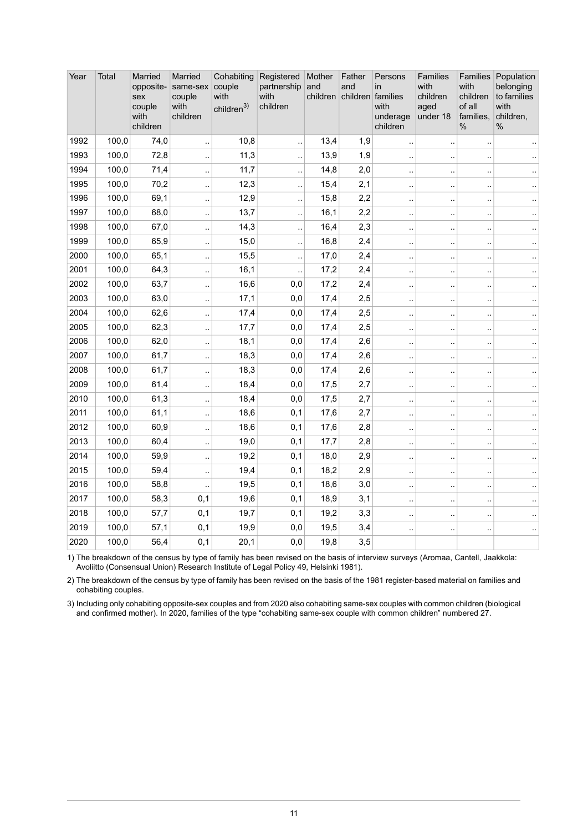| Year | Total | Married<br>opposite-<br>sex<br>couple<br>with<br>children | Married<br>same-sex<br>couple<br>with<br>children | Cohabiting<br>couple<br>with<br>children <sup>3)</sup> | Registered<br>partnership<br>with<br>children | Mother<br>and<br>children | Father<br>and<br>children families | Persons<br>in<br>with<br>underage<br>children | <b>Families</b><br>with<br>children<br>aged<br>under 18 | with<br>children<br>of all<br>families,<br>% | Families Population<br>belonging<br>to families<br>with<br>children,<br>$\%$ |
|------|-------|-----------------------------------------------------------|---------------------------------------------------|--------------------------------------------------------|-----------------------------------------------|---------------------------|------------------------------------|-----------------------------------------------|---------------------------------------------------------|----------------------------------------------|------------------------------------------------------------------------------|
| 1992 | 100,0 | 74,0                                                      | Ω,                                                | 10,8                                                   | $\ddotsc$                                     | 13,4                      | 1,9                                | $\ddotsc$                                     | $\ddot{\phantom{a}}$                                    | ÷.                                           |                                                                              |
| 1993 | 100,0 | 72,8                                                      | .,                                                | 11,3                                                   | Ţ,                                            | 13,9                      | 1,9                                | $\ddot{\phantom{a}}$                          | $\ddot{\phantom{a}}$                                    |                                              |                                                                              |
| 1994 | 100,0 | 71,4                                                      | $\ddotsc$                                         | 11,7                                                   | $\ddot{\phantom{a}}$ .                        | 14,8                      | 2,0                                | $\ddot{\phantom{a}}$                          | $\ddot{\phantom{a}}$                                    | $\ddot{\phantom{a}}$                         | $\ddotsc$                                                                    |
| 1995 | 100,0 | 70,2                                                      | ÷.                                                | 12,3                                                   | $\ddot{\phantom{0}}$                          | 15,4                      | 2,1                                | $\ddot{\phantom{0}}$                          | $\ddotsc$                                               | $\ddot{\phantom{0}}$                         | $\ddotsc$                                                                    |
| 1996 | 100,0 | 69,1                                                      | $\ddot{\phantom{a}}$                              | 12,9                                                   | $\ddot{\phantom{a}}$                          | 15,8                      | 2,2                                | ă,                                            | ٠.                                                      | à.                                           | $\ddotsc$                                                                    |
| 1997 | 100,0 | 68,0                                                      | $\ddotsc$                                         | 13,7                                                   | Ţ,                                            | 16,1                      | 2,2                                | $\ddot{\phantom{a}}$                          |                                                         |                                              |                                                                              |
| 1998 | 100,0 | 67,0                                                      | l.                                                | 14,3                                                   | $\ddot{\phantom{a}}$ .                        | 16,4                      | 2,3                                | $\bar{\nu}$                                   | $\ddot{\phantom{a}}$                                    | à.                                           | $\ddot{\phantom{a}}$                                                         |
| 1999 | 100,0 | 65,9                                                      | ă,                                                | 15,0                                                   | $\ddot{\phantom{a}}$                          | 16,8                      | 2,4                                | à,                                            | $\ddot{\phantom{a}}$                                    |                                              | ă.                                                                           |
| 2000 | 100,0 | 65,1                                                      | $\ddotsc$                                         | 15,5                                                   | $\ddot{\phantom{a}}$ .                        | 17,0                      | 2,4                                | $\ddotsc$                                     | $\ddot{\phantom{a}}$                                    | $\ddot{\phantom{a}}$                         | $\ddotsc$                                                                    |
| 2001 | 100,0 | 64,3                                                      | $\ddotsc$                                         | 16,1                                                   |                                               | 17,2                      | 2,4                                | J.                                            |                                                         |                                              | $\ddotsc$                                                                    |
| 2002 | 100,0 | 63,7                                                      | Ţ,                                                | 16,6                                                   | 0,0                                           | 17,2                      | 2,4                                | $\ddotsc$                                     | $\ddotsc$                                               |                                              | $\ddotsc$                                                                    |
| 2003 | 100,0 | 63,0                                                      | ă.                                                | 17,1                                                   | 0,0                                           | 17,4                      | 2,5                                | $\ddot{\phantom{a}}$                          | $\ddot{\phantom{a}}$                                    |                                              | $\ddotsc$                                                                    |
| 2004 | 100,0 | 62,6                                                      | $\ddotsc$                                         | 17,4                                                   | 0,0                                           | 17,4                      | 2,5                                | $\ddotsc$                                     | $\ddot{\phantom{a}}$                                    | à.                                           | $\ddotsc$                                                                    |
| 2005 | 100,0 | 62,3                                                      |                                                   | 17,7                                                   | 0,0                                           | 17,4                      | 2,5                                | $\ddot{\phantom{0}}$                          |                                                         |                                              |                                                                              |
| 2006 | 100,0 | 62,0                                                      | L,                                                | 18,1                                                   | 0,0                                           | 17,4                      | 2,6                                | $\ddot{\phantom{1}}$                          |                                                         |                                              |                                                                              |
| 2007 | 100,0 | 61,7                                                      | ă.                                                | 18,3                                                   | 0,0                                           | 17,4                      | 2,6                                | à,                                            | $\ddot{\phantom{a}}$                                    | μ,                                           | Ω.                                                                           |
| 2008 | 100,0 | 61,7                                                      | $\ddotsc$                                         | 18,3                                                   | 0,0                                           | 17,4                      | 2,6                                | $\sim$                                        | $\ddotsc$                                               | $\ddot{\phantom{0}}$                         | $\ddotsc$                                                                    |
| 2009 | 100,0 | 61,4                                                      | $\ddot{\phantom{a}}$                              | 18,4                                                   | 0,0                                           | 17,5                      | 2,7                                | $\ddot{\phantom{0}}$                          |                                                         |                                              | $\ddotsc$                                                                    |
| 2010 | 100,0 | 61,3                                                      | $\ddot{\phantom{a}}$                              | 18,4                                                   | 0,0                                           | 17,5                      | 2,7                                | $\ddotsc$                                     | $\ddotsc$                                               |                                              | $\sim$                                                                       |
| 2011 | 100,0 | 61,1                                                      | ă.                                                | 18,6                                                   | 0,1                                           | 17,6                      | 2,7                                | $\ddot{\phantom{a}}$                          |                                                         | μ,                                           | $\ddot{\phantom{a}}$                                                         |
| 2012 | 100,0 | 60,9                                                      | $\ddotsc$                                         | 18,6                                                   | 0,1                                           | 17,6                      | 2,8                                | $\sim$                                        | $\ddotsc$                                               | à.                                           | $\ddotsc$                                                                    |
| 2013 | 100,0 | 60,4                                                      | $\ddot{\phantom{a}}$                              | 19,0                                                   | 0,1                                           | 17,7                      | 2,8                                | $\ddot{\phantom{a}}$                          | $\ddot{\phantom{a}}$                                    | $\ddot{\phantom{0}}$                         | $\sim$                                                                       |
| 2014 | 100,0 | 59,9                                                      | $\ddot{\phantom{a}}$                              | 19,2                                                   | 0,1                                           | 18,0                      | 2,9                                | $\ddotsc$                                     | $\ddotsc$                                               |                                              | $\ddotsc$                                                                    |
| 2015 | 100,0 | 59,4                                                      | l.                                                | 19,4                                                   | 0,1                                           | 18,2                      | 2,9                                | ă,                                            | $\ddot{\phantom{a}}$                                    | $\ddot{\phantom{a}}$                         | $\ddotsc$                                                                    |
| 2016 | 100,0 | 58,8                                                      | $\ddotsc$                                         | 19,5                                                   | 0,1                                           | 18,6                      | 3,0                                | $\ddot{\phantom{a}}$                          | $\ddotsc$                                               | μ.                                           | $\ddotsc$                                                                    |
| 2017 | 100,0 | 58,3                                                      | 0,1                                               | 19,6                                                   | 0,1                                           | 18,9                      | 3,1                                | $\ddot{\phantom{a}}$                          | $\ddot{\phantom{a}}$                                    | $\ddot{\phantom{0}}$                         | $\sim$                                                                       |
| 2018 | 100,0 | 57,7                                                      | 0,1                                               | 19,7                                                   | 0,1                                           | 19,2                      | 3,3                                | $\ddot{\phantom{0}}$                          | $\ddot{\phantom{a}}$                                    |                                              | $\ddot{\phantom{1}}$                                                         |
| 2019 | 100,0 | 57,1                                                      | 0,1                                               | 19,9                                                   | 0,0                                           | 19,5                      | 3,4                                | ÷.                                            | $\ddot{\phantom{0}}$                                    |                                              | $\ddotsc$                                                                    |
| 2020 | 100,0 | 56,4                                                      | 0,1                                               | 20,1                                                   | 0,0                                           | 19,8                      | 3,5                                |                                               |                                                         |                                              |                                                                              |

The breakdown of the census by type of family has been revised on the basis of interview surveys (Aromaa, Cantell, Jaakkola: Avoliitto (Consensual Union) Research Institute of Legal Policy 49, Helsinki 1981). 1)

2) The breakdown of the census by type of family has been revised on the basis of the 1981 register-based material on families and cohabiting couples.

Including only cohabiting opposite-sex couples and from 2020 also cohabiting same-sex couples with common children (biological and confirmed mother). In 2020, families of the type "cohabiting same-sex couple with common children" numbered 27. 3)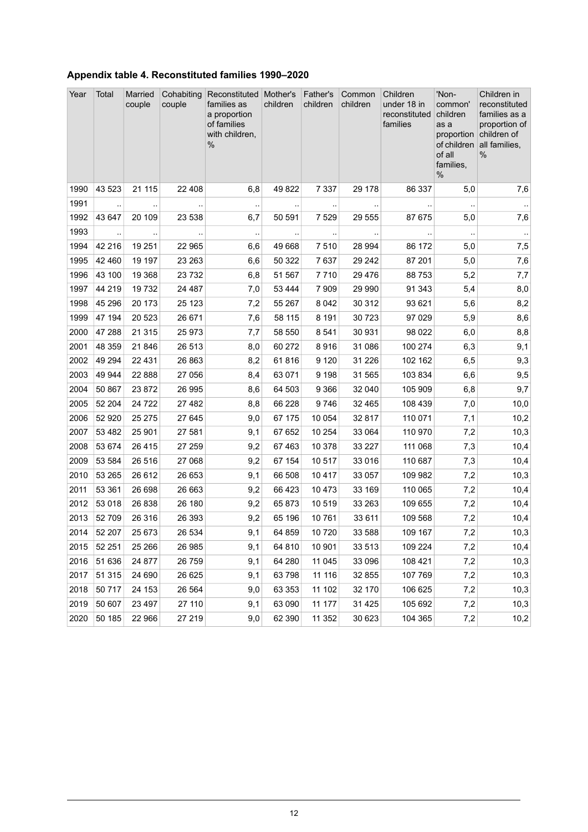<span id="page-11-0"></span>

| Appendix table 4. Reconstituted families 1990-2020 |  |  |
|----------------------------------------------------|--|--|
|                                                    |  |  |

| Year | Total                | Married<br>couple | Cohabiting<br>couple   | Reconstituted   Mother's<br>families as<br>a proportion<br>of families<br>with children,<br>% | children  | Father's<br>children | Common<br>children | Children<br>under 18 in<br>reconstituted<br>families | 'Non-<br>common'<br>children<br>as a<br>proportion<br>of children<br>of all<br>families,<br>% | Children in<br>reconstituted<br>families as a<br>proportion of<br>children of<br>all families,<br>$\%$ |
|------|----------------------|-------------------|------------------------|-----------------------------------------------------------------------------------------------|-----------|----------------------|--------------------|------------------------------------------------------|-----------------------------------------------------------------------------------------------|--------------------------------------------------------------------------------------------------------|
| 1990 | 43 5 23              | 21 115            | 22 408                 | 6,8                                                                                           | 49 822    | 7 3 3 7              | 29 178             | 86 337                                               | 5,0                                                                                           | 7,6                                                                                                    |
| 1991 | $\ddotsc$            |                   | $\ddotsc$              | $\ddotsc$                                                                                     | $\cdot$ . | $\ddotsc$            |                    |                                                      | $\ddotsc$                                                                                     |                                                                                                        |
| 1992 | 43 647               | 20 109            | 23 538                 | 6,7                                                                                           | 50 591    | 7 5 2 9              | 29 555             | 87 675                                               | 5,0                                                                                           | 7,6                                                                                                    |
| 1993 | $\ddot{\phantom{0}}$ | $\ddotsc$         | $\ddot{\phantom{a}}$ . | $\ddot{\phantom{1}}$                                                                          |           | $\cdot$ .            | $\ddotsc$          |                                                      | $\ddot{\phantom{1}}$                                                                          | $\sim$                                                                                                 |
| 1994 | 42 216               | 19 251            | 22 965                 | 6,6                                                                                           | 49 668    | 7 5 1 0              | 28 9 94            | 86 172                                               | 5,0                                                                                           | 7,5                                                                                                    |
| 1995 | 42 460               | 19 197            | 23 26 3                | 6,6                                                                                           | 50 322    | 7637                 | 29 24 2            | 87 201                                               | 5,0                                                                                           | 7,6                                                                                                    |
| 1996 | 43 100               | 19 3 68           | 23 7 32                | 6,8                                                                                           | 51 567    | 7710                 | 29 4 7 6           | 88753                                                | 5,2                                                                                           | 7,7                                                                                                    |
| 1997 | 44 219               | 19732             | 24 487                 | 7,0                                                                                           | 53 4 44   | 7 9 0 9              | 29 990             | 91 343                                               | 5,4                                                                                           | 8,0                                                                                                    |
| 1998 | 45 296               | 20 173            | 25 1 23                | 7,2                                                                                           | 55 267    | 8 0 4 2              | 30 312             | 93 621                                               | 5,6                                                                                           | 8,2                                                                                                    |
| 1999 | 47 194               | 20 5 23           | 26 671                 | 7,6                                                                                           | 58 115    | 8 1 9 1              | 30 7 23            | 97 0 29                                              | 5,9                                                                                           | 8,6                                                                                                    |
| 2000 | 47 288               | 21 315            | 25 973                 | 7,7                                                                                           | 58 550    | 8541                 | 30 931             | 98 0 22                                              | 6,0                                                                                           | 8,8                                                                                                    |
| 2001 | 48 359               | 21 846            | 26 513                 | 8,0                                                                                           | 60 272    | 8916                 | 31 086             | 100 274                                              | 6,3                                                                                           | 9,1                                                                                                    |
| 2002 | 49 294               | 22 4 31           | 26 863                 | 8,2                                                                                           | 61816     | 9 1 2 0              | 31 2 26            | 102 162                                              | 6,5                                                                                           | 9,3                                                                                                    |
| 2003 | 49 944               | 22 888            | 27 056                 | 8,4                                                                                           | 63 071    | 9 1 9 8              | 31 565             | 103 834                                              | 6,6                                                                                           | 9,5                                                                                                    |
| 2004 | 50 867               | 23 872            | 26 995                 | 8,6                                                                                           | 64 503    | 9 3 6 6              | 32 040             | 105 909                                              | 6,8                                                                                           | 9,7                                                                                                    |
| 2005 | 52 204               | 24 7 22           | 27 482                 | 8,8                                                                                           | 66 228    | 9746                 | 32 465             | 108 439                                              | 7,0                                                                                           | 10,0                                                                                                   |
| 2006 | 52 920               | 25 275            | 27 645                 | 9,0                                                                                           | 67 175    | 10 0 54              | 32 817             | 110 071                                              | 7,1                                                                                           | 10,2                                                                                                   |
| 2007 | 53 4 82              | 25 901            | 27 581                 | 9,1                                                                                           | 67 652    | 10 254               | 33 064             | 110 970                                              | 7,2                                                                                           | 10,3                                                                                                   |
| 2008 | 53 674               | 26 4 15           | 27 259                 | 9,2                                                                                           | 67 4 63   | 10 378               | 33 227             | 111 068                                              | 7,3                                                                                           | 10,4                                                                                                   |
| 2009 | 53 584               | 26 516            | 27 068                 | 9,2                                                                                           | 67 154    | 10 517               | 33 016             | 110 687                                              | 7,3                                                                                           | 10,4                                                                                                   |
| 2010 | 53 265               | 26 612            | 26 653                 | 9,1                                                                                           | 66 508    | 10 4 17              | 33 057             | 109 982                                              | 7,2                                                                                           | 10,3                                                                                                   |
| 2011 | 53 361               | 26 698            | 26 663                 | 9,2                                                                                           | 66 423    | 10 473               | 33 169             | 110 065                                              | 7,2                                                                                           | 10,4                                                                                                   |
| 2012 | 53 018               | 26 838            | 26 180                 | 9,2                                                                                           | 65 873    | 10 519               | 33 263             | 109 655                                              | 7,2                                                                                           | 10,4                                                                                                   |
| 2013 | 52 709               | 26 316            | 26 393                 | 9,2                                                                                           | 65 196    | 10761                | 33 611             | 109 568                                              | 7,2                                                                                           | 10,4                                                                                                   |
| 2014 | 52 207               | 25 673            | 26 534                 | 9,1                                                                                           | 64 859    | 10 720               | 33 588             | 109 167                                              | 7,2                                                                                           | 10,3                                                                                                   |
| 2015 | 52 251               | 25 26 6           | 26 985                 | 9,1                                                                                           | 64 810    | 10 901               | 33 513             | 109 224                                              | 7,2                                                                                           | 10,4                                                                                                   |
| 2016 | 51 636               | 24 877            | 26 759                 | 9,1                                                                                           | 64 280    | 11 045               | 33 096             | 108 421                                              | 7,2                                                                                           | 10,3                                                                                                   |
| 2017 | 51 315               | 24 690            | 26 625                 | 9,1                                                                                           | 63 798    | 11 116               | 32 855             | 107 769                                              | 7,2                                                                                           | 10,3                                                                                                   |
| 2018 | 50 717               | 24 153            | 26 5 64                | 9,0                                                                                           | 63 353    | 11 102               | 32 170             | 106 625                                              | 7,2                                                                                           | 10,3                                                                                                   |
| 2019 | 50 607               | 23 497            | 27 110                 | 9,1                                                                                           | 63 090    | 11 177               | 31 4 25            | 105 692                                              | 7,2                                                                                           | 10,3                                                                                                   |
| 2020 | 50 185               | 22 966            | 27 219                 | 9,0                                                                                           | 62 390    | 11 352               | 30 623             | 104 365                                              | 7,2                                                                                           | 10,2                                                                                                   |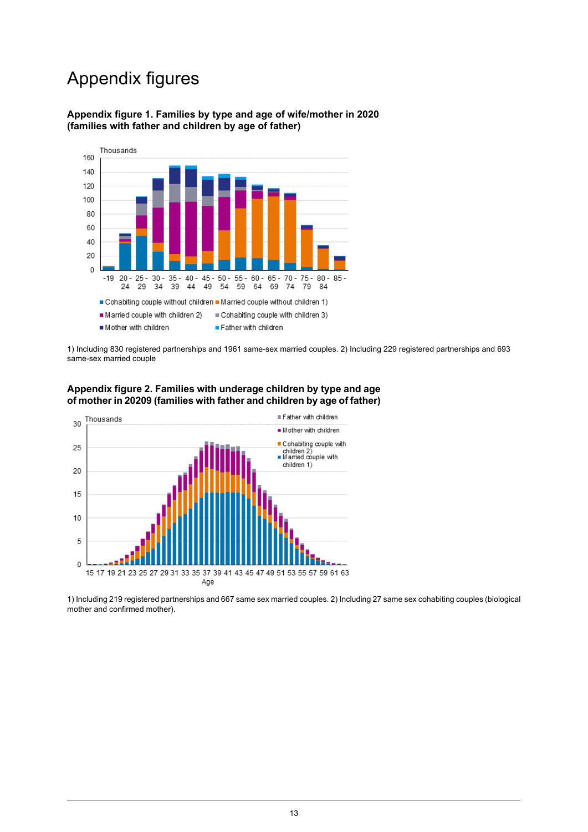## Appendix figures

#### <span id="page-12-0"></span>**Appendix figure 1. Families by type and age of wife/mother in 2020 (families with father and children by age of father)**



<span id="page-12-1"></span>1) Including 830 registered partnerships and 1961 same-sex married couples. 2) Including 229 registered partnerships and 693 same-sex married couple





1) Including 219 registered partnerships and 667 same sex married couples. 2) Including 27 same sex cohabiting couples (biological mother and confirmed mother).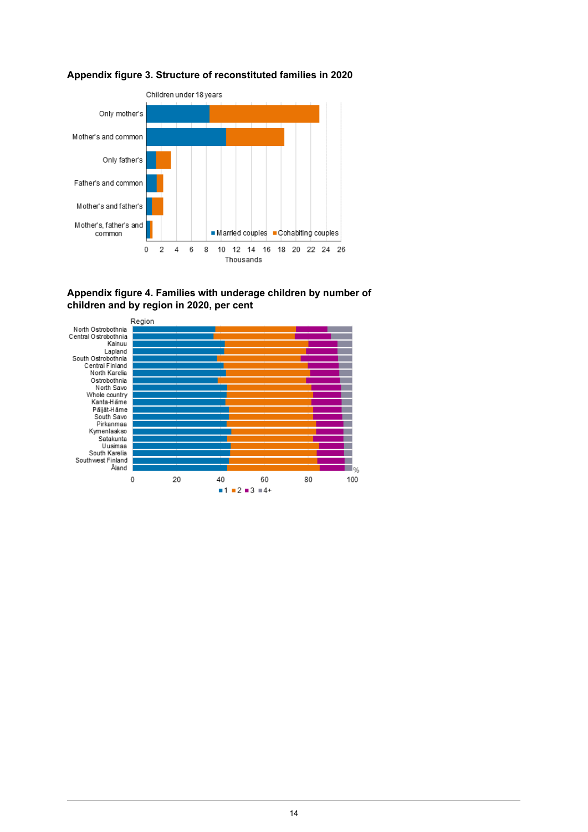<span id="page-13-0"></span>



#### <span id="page-13-1"></span>**Appendix figure 4. Families with underage children by number of children and by region in 2020, per cent**

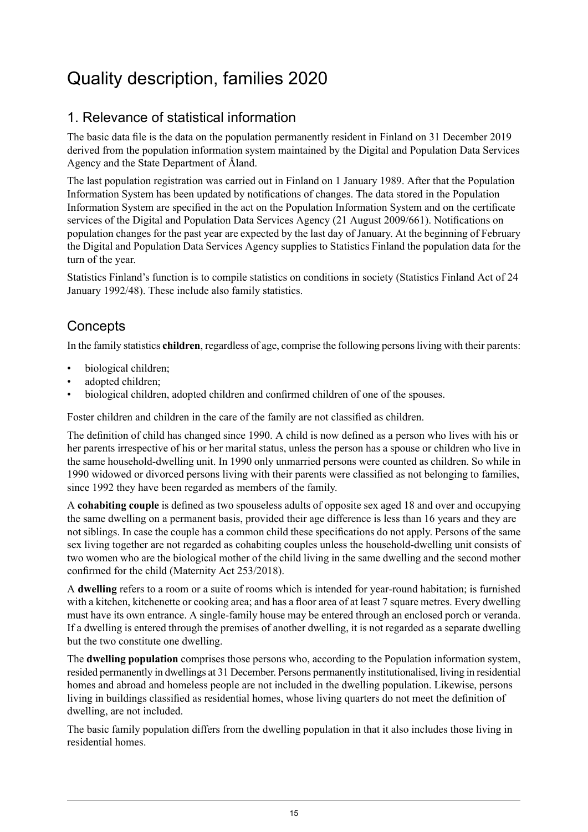## <span id="page-14-0"></span>Quality description, families 2020

### 1. Relevance of statistical information

The basic data file is the data on the population permanently resident in Finland on 31 December 2019 derived from the population information system maintained by the Digital and Population Data Services Agency and the State Department of Åland.

The last population registration was carried out in Finland on 1 January 1989. After that the Population Information System has been updated by notifications of changes. The data stored in the Population Information System are specified in the act on the Population Information System and on the certificate services of the Digital and Population Data Services Agency (21 August 2009/661). Notifications on population changes for the past year are expected by the last day of January. At the beginning of February the Digital and Population Data Services Agency supplies to Statistics Finland the population data for the turn of the year.

Statistics Finland's function is to compile statistics on conditions in society (Statistics Finland Act of 24 January 1992/48). These include also family statistics.

### **Concepts**

In the family statistics **children**, regardless of age, comprise the following personsliving with their parents:

- biological children;
- adopted children;
- biological children, adopted children and confirmed children of one of the spouses.

Foster children and children in the care of the family are not classified as children.

The definition of child has changed since 1990. A child is now defined as a person who lives with his or her parents irrespective of his or her marital status, unless the person has a spouse or children who live in the same household-dwelling unit. In 1990 only unmarried persons were counted as children. So while in 1990 widowed or divorced persons living with their parents were classified as not belonging to families, since 1992 they have been regarded as members of the family.

A **cohabiting couple** is defined as two spouseless adults of opposite sex aged 18 and over and occupying the same dwelling on a permanent basis, provided their age difference is less than 16 years and they are not siblings. In case the couple has a common child these specifications do not apply. Persons of the same sex living together are not regarded as cohabiting couples unless the household-dwelling unit consists of two women who are the biological mother of the child living in the same dwelling and the second mother confirmed for the child (Maternity Act 253/2018).

A **dwelling** refers to a room or a suite of rooms which is intended for year-round habitation; is furnished with a kitchen, kitchenette or cooking area; and has a floor area of at least 7 square metres. Every dwelling must have its own entrance. A single-family house may be entered through an enclosed porch or veranda. If a dwelling is entered through the premises of another dwelling, it is not regarded as a separate dwelling but the two constitute one dwelling.

The **dwelling population** comprises those persons who, according to the Population information system, resided permanently in dwellings at 31 December. Persons permanently institutionalised, living in residential homes and abroad and homeless people are not included in the dwelling population. Likewise, persons living in buildings classified as residential homes, whose living quarters do not meet the definition of dwelling, are not included.

The basic family population differs from the dwelling population in that it also includes those living in residential homes.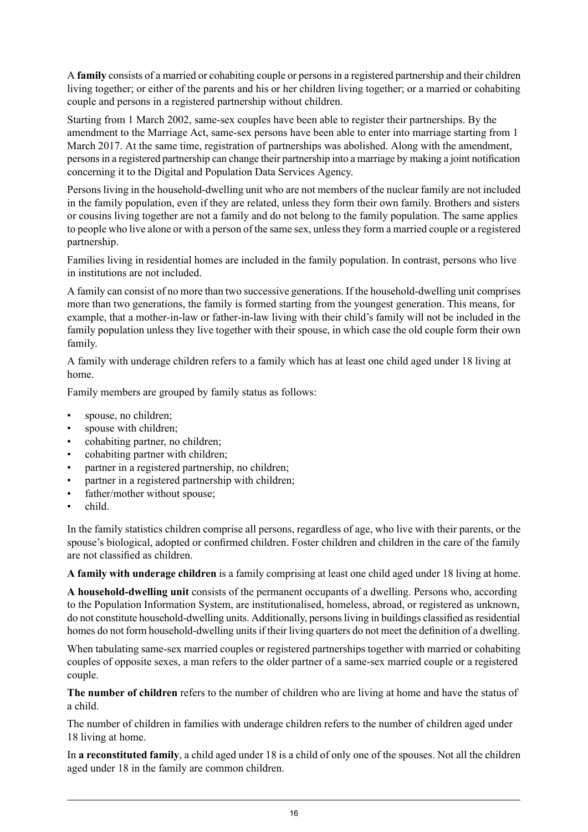A **family** consists of a married or cohabiting couple or personsin a registered partnership and their children living together; or either of the parents and his or her children living together; or a married or cohabiting couple and persons in a registered partnership without children.

Starting from 1 March 2002, same-sex couples have been able to register their partnerships. By the amendment to the Marriage Act, same-sex persons have been able to enter into marriage starting from 1 March 2017. At the same time, registration of partnerships was abolished. Along with the amendment, personsin a registered partnership can change their partnership into a marriage by making a joint notification concerning it to the Digital and Population Data Services Agency.

Persons living in the household-dwelling unit who are not members of the nuclear family are not included in the family population, even if they are related, unless they form their own family. Brothers and sisters or cousins living together are not a family and do not belong to the family population. The same applies to people who live alone or with a person of the same sex, unlessthey form a married couple or a registered partnership.

Families living in residential homes are included in the family population. In contrast, persons who live in institutions are not included.

A family can consist of no more than two successive generations. If the household-dwelling unit comprises more than two generations, the family is formed starting from the youngest generation. This means, for example, that a mother-in-law or father-in-law living with their child's family will not be included in the family population unless they live together with their spouse, in which case the old couple form their own family.

A family with underage children refers to a family which has at least one child aged under 18 living at home.

Family members are grouped by family status as follows:

- spouse, no children;
- spouse with children;
- cohabiting partner, no children;
- cohabiting partner with children;
- partner in a registered partnership, no children;
- partner in a registered partnership with children;
- father/mother without spouse;
- child.

In the family statistics children comprise all persons, regardless of age, who live with their parents, or the spouse's biological, adopted or confirmed children. Foster children and children in the care of the family are not classified as children.

**A family with underage children** is a family comprising at least one child aged under 18 living at home.

**A household-dwelling unit** consists of the permanent occupants of a dwelling. Persons who, according to the Population Information System, are institutionalised, homeless, abroad, or registered as unknown, do not constitute household-dwelling units. Additionally, personsliving in buildings classified asresidential homes do not form household-dwelling units if their living quarters do not meet the definition of a dwelling.

When tabulating same-sex married couples or registered partnerships together with married or cohabiting couples of opposite sexes, a man refers to the older partner of a same-sex married couple or a registered couple.

**The number of children** refers to the number of children who are living at home and have the status of a child.

The number of children in families with underage children refers to the number of children aged under 18 living at home.

In **a reconstituted family**, a child aged under 18 is a child of only one of the spouses. Not all the children aged under 18 in the family are common children.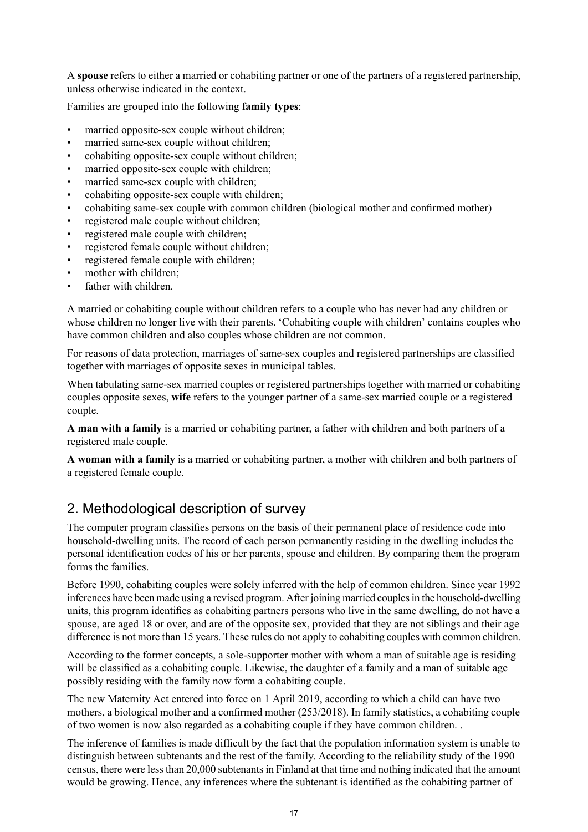A **spouse** refers to either a married or cohabiting partner or one of the partners of a registered partnership, unless otherwise indicated in the context.

Families are grouped into the following **family types**:

- married opposite-sex couple without children;
- married same-sex couple without children;
- cohabiting opposite-sex couple without children;
- married opposite-sex couple with children;
- married same-sex couple with children;
- cohabiting opposite-sex couple with children;
- cohabiting same-sex couple with common children (biological mother and confirmed mother)
- registered male couple without children;
- registered male couple with children;
- registered female couple without children;
- registered female couple with children;
- mother with children;
- father with children.

A married or cohabiting couple without children refers to a couple who has never had any children or whose children no longer live with their parents. 'Cohabiting couple with children' contains couples who have common children and also couples whose children are not common.

For reasons of data protection, marriages of same-sex couples and registered partnerships are classified together with marriages of opposite sexes in municipal tables.

When tabulating same-sex married couples or registered partnerships together with married or cohabiting couples opposite sexes, **wife** refers to the younger partner of a same-sex married couple or a registered couple.

**A man with a family** is a married or cohabiting partner, a father with children and both partners of a registered male couple.

**A woman with a family** is a married or cohabiting partner, a mother with children and both partners of a registered female couple.

### 2. Methodological description of survey

The computer program classifies persons on the basis of their permanent place of residence code into household-dwelling units. The record of each person permanently residing in the dwelling includes the personal identification codes of his or her parents, spouse and children. By comparing them the program forms the families.

Before 1990, cohabiting couples were solely inferred with the help of common children. Since year 1992 inferences have been made using a revised program. After joining married couplesin the household-dwelling units, this program identifies as cohabiting partners persons who live in the same dwelling, do not have a spouse, are aged 18 or over, and are of the opposite sex, provided that they are not siblings and their age difference is not more than 15 years. These rules do not apply to cohabiting couples with common children.

According to the former concepts, a sole-supporter mother with whom a man of suitable age is residing will be classified as a cohabiting couple. Likewise, the daughter of a family and a man of suitable age possibly residing with the family now form a cohabiting couple.

The new Maternity Act entered into force on 1 April 2019, according to which a child can have two mothers, a biological mother and a confirmed mother (253/2018). In family statistics, a cohabiting couple of two women is now also regarded as a cohabiting couple if they have common children. .

The inference of families is made difficult by the fact that the population information system is unable to distinguish between subtenants and the rest of the family. According to the reliability study of the 1990 census, there were lessthan 20,000 subtenantsin Finland at that time and nothing indicated that the amount would be growing. Hence, any inferences where the subtenant is identified as the cohabiting partner of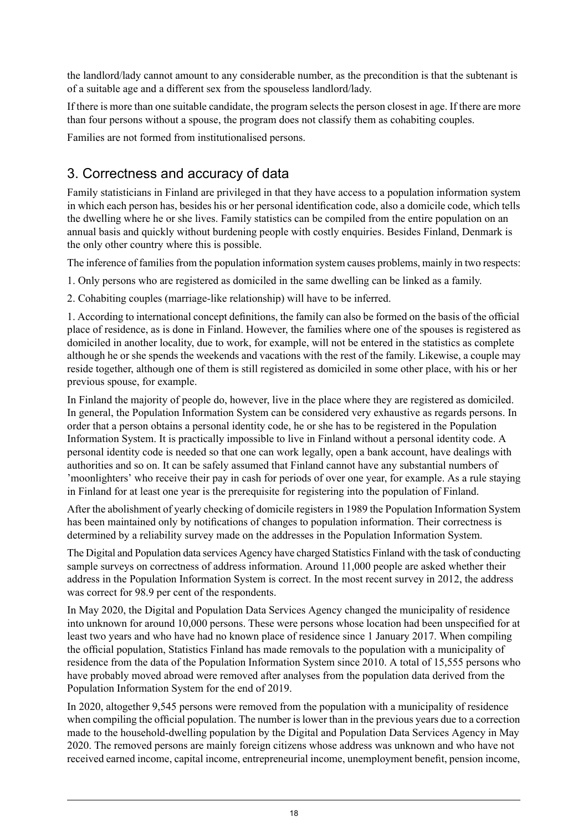the landlord/lady cannot amount to any considerable number, as the precondition is that the subtenant is of a suitable age and a different sex from the spouseless landlord/lady.

If there is more than one suitable candidate, the program selects the person closest in age. If there are more than four persons without a spouse, the program does not classify them as cohabiting couples.

Families are not formed from institutionalised persons.

### 3. Correctness and accuracy of data

Family statisticians in Finland are privileged in that they have access to a population information system in which each person has, besides his or her personal identification code, also a domicile code, which tells the dwelling where he or she lives. Family statistics can be compiled from the entire population on an annual basis and quickly without burdening people with costly enquiries. Besides Finland, Denmark is the only other country where this is possible.

The inference of families from the population information system causes problems, mainly in two respects:

1. Only persons who are registered as domiciled in the same dwelling can be linked as a family.

2. Cohabiting couples (marriage-like relationship) will have to be inferred.

1. According to international concept definitions, the family can also be formed on the basis of the official place of residence, as is done in Finland. However, the families where one of the spouses is registered as domiciled in another locality, due to work, for example, will not be entered in the statistics as complete although he or she spends the weekends and vacations with the rest of the family. Likewise, a couple may reside together, although one of them is still registered as domiciled in some other place, with his or her previous spouse, for example.

In Finland the majority of people do, however, live in the place where they are registered as domiciled. In general, the Population Information System can be considered very exhaustive as regards persons. In order that a person obtains a personal identity code, he or she has to be registered in the Population Information System. It is practically impossible to live in Finland without a personal identity code. A personal identity code is needed so that one can work legally, open a bank account, have dealings with authorities and so on. It can be safely assumed that Finland cannot have any substantial numbers of 'moonlighters' who receive their pay in cash for periods of over one year, for example. As a rule staying in Finland for at least one year is the prerequisite for registering into the population of Finland.

After the abolishment of yearly checking of domicile registers in 1989 the Population Information System has been maintained only by notifications of changes to population information. Their correctness is determined by a reliability survey made on the addresses in the Population Information System.

The Digital and Population data services Agency have charged Statistics Finland with the task of conducting sample surveys on correctness of address information. Around 11,000 people are asked whether their address in the Population Information System is correct. In the most recent survey in 2012, the address was correct for 98.9 per cent of the respondents.

In May 2020, the Digital and Population Data Services Agency changed the municipality of residence into unknown for around 10,000 persons. These were persons whose location had been unspecified for at least two years and who have had no known place of residence since 1 January 2017. When compiling the official population, Statistics Finland has made removals to the population with a municipality of residence from the data of the Population Information System since 2010. A total of 15,555 persons who have probably moved abroad were removed after analyses from the population data derived from the Population Information System for the end of 2019.

In 2020, altogether 9,545 persons were removed from the population with a municipality of residence when compiling the official population. The number is lower than in the previous years due to a correction made to the household-dwelling population by the Digital and Population Data Services Agency in May 2020. The removed persons are mainly foreign citizens whose address was unknown and who have not received earned income, capital income, entrepreneurial income, unemployment benefit, pension income,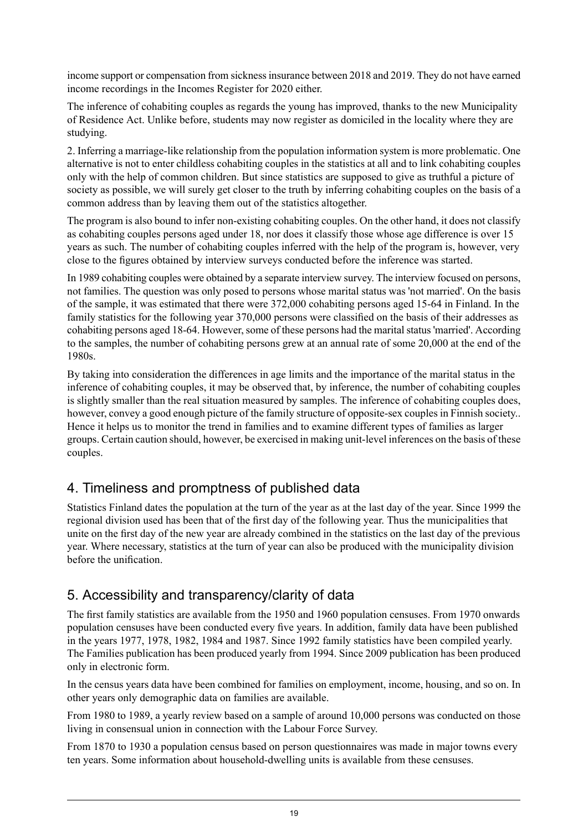income support or compensation from sickness insurance between 2018 and 2019. They do not have earned income recordings in the Incomes Register for 2020 either.

The inference of cohabiting couples as regards the young has improved, thanks to the new Municipality of Residence Act. Unlike before, students may now register as domiciled in the locality where they are studying.

2. Inferring a marriage-like relationship from the population information system is more problematic. One alternative is not to enter childless cohabiting couples in the statistics at all and to link cohabiting couples only with the help of common children. But since statistics are supposed to give as truthful a picture of society as possible, we will surely get closer to the truth by inferring cohabiting couples on the basis of a common address than by leaving them out of the statistics altogether.

The program is also bound to infer non-existing cohabiting couples. On the other hand, it does not classify as cohabiting couples persons aged under 18, nor does it classify those whose age difference is over 15 years as such. The number of cohabiting couples inferred with the help of the program is, however, very close to the figures obtained by interview surveys conducted before the inference was started.

In 1989 cohabiting couples were obtained by a separate interview survey. The interview focused on persons, not families. The question was only posed to persons whose marital status was 'not married'. On the basis of the sample, it was estimated that there were 372,000 cohabiting persons aged 15-64 in Finland. In the family statistics for the following year 370,000 persons were classified on the basis of their addresses as cohabiting persons aged 18-64. However, some of these persons had the marital status 'married'. According to the samples, the number of cohabiting persons grew at an annual rate of some 20,000 at the end of the 1980s.

By taking into consideration the differences in age limits and the importance of the marital status in the inference of cohabiting couples, it may be observed that, by inference, the number of cohabiting couples is slightly smaller than the real situation measured by samples. The inference of cohabiting couples does, however, convey a good enough picture of the family structure of opposite-sex couples in Finnish society.. Hence it helps us to monitor the trend in families and to examine different types of families as larger groups. Certain caution should, however, be exercised in making unit-level inferences on the basis of these couples.

### 4. Timeliness and promptness of published data

Statistics Finland dates the population at the turn of the year as at the last day of the year. Since 1999 the regional division used has been that of the first day of the following year. Thus the municipalities that unite on the first day of the new year are already combined in the statistics on the last day of the previous year. Where necessary, statistics at the turn of year can also be produced with the municipality division before the unification.

### 5. Accessibility and transparency/clarity of data

The first family statistics are available from the 1950 and 1960 population censuses. From 1970 onwards population censuses have been conducted every five years. In addition, family data have been published in the years 1977, 1978, 1982, 1984 and 1987. Since 1992 family statistics have been compiled yearly. The Families publication has been produced yearly from 1994. Since 2009 publication has been produced only in electronic form.

In the census years data have been combined for families on employment, income, housing, and so on. In other years only demographic data on families are available.

From 1980 to 1989, a yearly review based on a sample of around 10,000 persons was conducted on those living in consensual union in connection with the Labour Force Survey.

From 1870 to 1930 a population census based on person questionnaires was made in major towns every ten years. Some information about household-dwelling units is available from these censuses.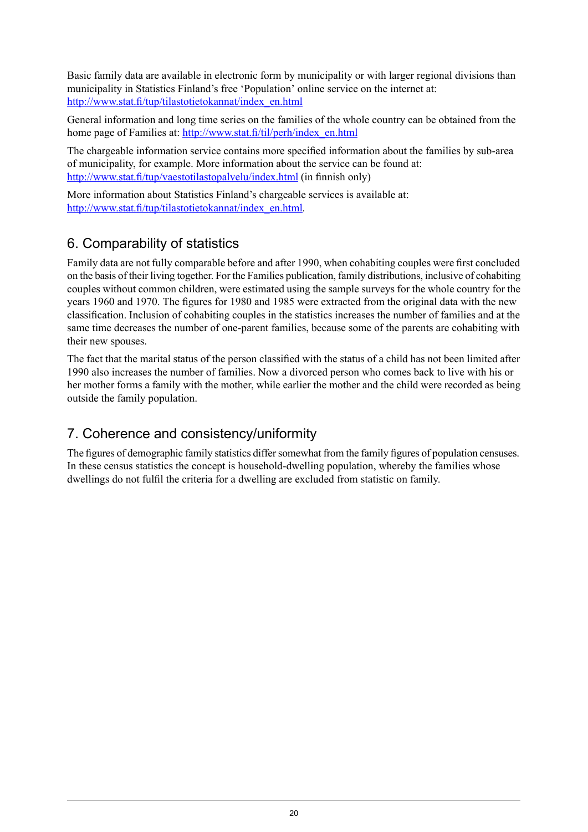Basic family data are available in electronic form by municipality or with larger regional divisions than municipality in Statistics Finland's free 'Population' online service on the internet at: [http://www.stat.fi/tup/tilastotietokannat/index\\_en.html](http://www.stat.fi/tup/tilastotietokannat/index_en.html)

General information and long time series on the families of the whole country can be obtained from the home page of Families at: [http://www.stat.fi/til/perh/index\\_en.html](http://www.stat.fi/til/perh/index_en.html)

The chargeable information service contains more specified information about the families by sub-area of municipality, for example. More information about the service can be found at: <http://www.stat.fi/tup/vaestotilastopalvelu/index.html> (in finnish only)

More information about Statistics Finland's chargeable services is available at: [http://www.stat.fi/tup/tilastotietokannat/index\\_en.html](http://www.stat.fi/tup/tilastotietokannat/index_en.html).

### 6. Comparability of statistics

Family data are not fully comparable before and after 1990, when cohabiting couples were first concluded on the basis of their living together. For the Families publication, family distributions, inclusive of cohabiting couples without common children, were estimated using the sample surveys for the whole country for the years 1960 and 1970. The figures for 1980 and 1985 were extracted from the original data with the new classification. Inclusion of cohabiting couples in the statistics increases the number of families and at the same time decreases the number of one-parent families, because some of the parents are cohabiting with their new spouses.

The fact that the marital status of the person classified with the status of a child has not been limited after 1990 also increases the number of families. Now a divorced person who comes back to live with his or her mother forms a family with the mother, while earlier the mother and the child were recorded as being outside the family population.

### 7. Coherence and consistency/uniformity

The figures of demographic family statistics differ somewhat from the family figures of population censuses. In these census statistics the concept is household-dwelling population, whereby the families whose dwellings do not fulfil the criteria for a dwelling are excluded from statistic on family.